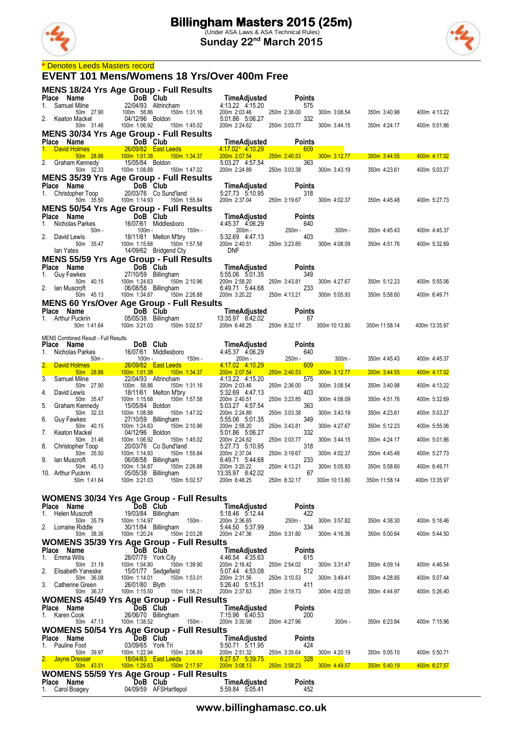



#### **\*** Denotes Leeds Masters record

**MENS 18/24 Yrs Age Group - Full Results**

#### **EVENT 101 Mens/Womens 18 Yrs/Over 400m Free**

| Place Name                                                                                                                                                                          | DoB Club                                       |                                                               | TimeAdjusted                                                                                         | Points                                                                                                                                                                        |               |               |               |
|-------------------------------------------------------------------------------------------------------------------------------------------------------------------------------------|------------------------------------------------|---------------------------------------------------------------|------------------------------------------------------------------------------------------------------|-------------------------------------------------------------------------------------------------------------------------------------------------------------------------------|---------------|---------------|---------------|
| 1.<br>Samuel Milne<br>50m 27.90                                                                                                                                                     | 22/04/93 Altrincham<br>100m 58.86              | 150m 1:31.16                                                  | 4:13.22 4:15.20<br>200m 2:03.46                                                                      | 575<br>250m 2:36.00                                                                                                                                                           | 300m 3:08.54  | 350m 3:40.98  | 400m 4:13.22  |
| 2. Keaton Mackel<br>50m 31.46                                                                                                                                                       | 04/12/96 Boldon                                |                                                               | 5:01.86 5:06.27                                                                                      | 332<br>250m 3:03.77                                                                                                                                                           |               |               |               |
| <b>MENS 30/34 Yrs Age Group - Full Results</b>                                                                                                                                      | 100m 1:06.92                                   | 150m 1:45.02                                                  | 200m 2:24.62                                                                                         |                                                                                                                                                                               | 300m 3:44.15  | 350m 4:24.17  | 400m 5:01.86  |
|                                                                                                                                                                                     |                                                |                                                               | TimeAdjusted                                                                                         | <b>Points</b>                                                                                                                                                                 |               |               |               |
| Place Name<br>1. David Holmes<br>28.09/82 East Leeds<br>28.09/82 East Leeds<br>2. Graham Kennedy<br>2. Graham Kennedy<br>2. Graham Kennedy<br>2. 35 100m 1:08.88<br>2. 150m 1:47.02 |                                                |                                                               | $4.17.02*$ 4.10.29<br>200m 2:07.54                                                                   | 609<br>and the state of the state of the state of the state of the state of the state of the state of the state of th<br>250m 2:40.53                                         | 300m 3:12.77  | 350m 3:44.55  | 400m 4:17.02  |
|                                                                                                                                                                                     |                                                |                                                               | 5:03.27 4:57.54                                                                                      | 363                                                                                                                                                                           |               |               |               |
|                                                                                                                                                                                     |                                                |                                                               | 200m 2:24.89                                                                                         | 250m 3:03.38                                                                                                                                                                  | 300m 3:43.19  | 350m 4:23.61  | 400m 5:03.27  |
| <b>MENS 35/39 Yrs Age Group - Full Results</b>                                                                                                                                      | DoB Club                                       |                                                               |                                                                                                      | <b>Points</b>                                                                                                                                                                 |               |               |               |
| <b>Prace Name</b><br>1. Christopher Toop 20/<br><b>PRECE</b> 25 100m                                                                                                                |                                                | 20/03/76 Co Sund'land                                         | <b>TimeAdjusted</b> Points<br>5:27.73 5:10.95 318                                                    |                                                                                                                                                                               |               |               |               |
| <b>MENS 50/54 Yrs Age Group - Full Results</b>                                                                                                                                      | 100m 1:14.93                                   | 150m 1:55.84                                                  | 200m 2:37.04 250m 3:19.67                                                                            |                                                                                                                                                                               | 300m 4:02.37  | 350m 4:45.48  | 400m 5:27.73  |
| Place Name                                                                                                                                                                          | DoB Club                                       |                                                               | TimeAdjusted                                                                                         | <b>Points</b>                                                                                                                                                                 |               |               |               |
| Nicholas Parkes<br>1.                                                                                                                                                               |                                                | 16/07/61 Middlesboro<br>$150m -$                              | 4:45.37 4:06.29                                                                                      | 640                                                                                                                                                                           |               |               |               |
| 50m -<br>2.<br>David Lewis                                                                                                                                                          | 100m -                                         | - 150m<br>150m M'bry<br>150m 1:57.58<br>18/11/61 Melton M'bry | 200m -<br>5:32.69 4:47.13                                                                            | 250m -<br>403                                                                                                                                                                 | $300m -$      | 350m 4:45.43  | 400m 4:45.37  |
| 50m 35.47<br>lan Yates                                                                                                                                                              | 100m 1:15.68                                   | 14/09/62 Bridgend Cty                                         | 200m 2:40.51 250m 3:23.85<br><b>DNF</b>                                                              |                                                                                                                                                                               | 300m 4:08.09  | 350m 4:51.76  | 400m 5:32.69  |
| <b>MENS 55/59 Yrs Age Group - Full Results</b>                                                                                                                                      |                                                |                                                               |                                                                                                      |                                                                                                                                                                               |               |               |               |
| Place Name                                                                                                                                                                          | 100 متعدد حافظ 27/10/59<br>27/10/59 Billingham |                                                               | TimeAdjusted                                                                                         | <b>Points</b>                                                                                                                                                                 |               |               |               |
| 1. Guy Fawkes<br>50m 40.15                                                                                                                                                          |                                                | 150m 2:10.96                                                  | 5:55.06 5:01.35<br>200m 2:58.20                                                                      | 349<br>250m 3:43.81                                                                                                                                                           | 300m 4:27.67  | 350m 5:12.23  | 400m 5:55.06  |
| 2. Ian Muscroft                                                                                                                                                                     | 06/08/58 Billingham                            |                                                               | 6:49.71 5:44.68                                                                                      | 233                                                                                                                                                                           |               |               |               |
| 50m 45.13<br><b>MENS 60 Yrs/Over Age Group - Full Results</b>                                                                                                                       | 100m 1:34.87                                   | 150m 2:26.88                                                  | 200m 3:20.22                                                                                         | 250m 4:13.21                                                                                                                                                                  | 300m 5:05.93  | 350m 5:58.60  | 400m 6:49.71  |
| Place Name                                                                                                                                                                          |                                                |                                                               | <b>Example 19 DoB Club TimeAdjusted Points</b><br>05/05/38 Billingham      13:35.97 8:42.02       67 |                                                                                                                                                                               |               |               |               |
| 1. Arthur Puckrin<br>50m 1:41.64                                                                                                                                                    | 100m 3:21.03                                   | 150m 5:02.57                                                  | 200m 6:48.25 250m 8:32.17                                                                            |                                                                                                                                                                               | 300m 10:13.80 | 350m 11:58.14 | 400m 13:35.97 |
|                                                                                                                                                                                     |                                                |                                                               |                                                                                                      |                                                                                                                                                                               |               |               |               |
| <b>MENS Combined Result - Full Results</b><br>Place Name                                                                                                                            |                                                |                                                               | DoB Club<br>16/07/61 Middlesboro 4:45.37 4:06.29                                                     | <b>Points</b>                                                                                                                                                                 |               |               |               |
| 1.                                                                                                                                                                                  |                                                |                                                               | $200m -$                                                                                             | 640<br>250m -                                                                                                                                                                 | $300m -$      | 350m 4:45.43  | 400m 4:45.37  |
| or Transform 16/07/61 Middlesboro<br>Nicholas Parkes 50m - 100m - 150m - 150m - 150m - 16/09/82 East Leeds<br><b>David Holmes</b>                                                   |                                                |                                                               | 4.17.02 4.10.29                                                                                      | 609                                                                                                                                                                           |               |               |               |
| 50m 28.86<br>3.<br>Samuel Milne                                                                                                                                                     | 100m 1:01.38<br>22/04/93 Altrincham            | 150m 1:34.37                                                  | 200m 2:07.54<br>4:13.22 4:15.20                                                                      | 250m 2:40.53<br>575                                                                                                                                                           | 300m 3:12.77  | 350m 3:44.55  | 400m 4:17.02  |
| 50m 27.90                                                                                                                                                                           | 100m 58.86                                     | 150m 1:31.16                                                  | 200m 2:03.46                                                                                         | 250m 2:36.00                                                                                                                                                                  | 300m 3:08.54  | 350m 3:40.98  | 400m 4:13.22  |
| 4.<br>David Lewis<br>50m 35.47                                                                                                                                                      | 100m 1:15.68                                   | 18/11/61 Melton M'bry<br>150m 1:57.58                         | 5.32.69 4.47.13<br>200m 2:40.51                                                                      | 403<br>250m 3:23.85                                                                                                                                                           | 300m 4:08.09  | 350m 4:51.76  | 400m 5:32.69  |
| 5.<br>Graham Kennedy<br>50m 32.33                                                                                                                                                   | 15/05/84 Boldon<br>100m 1:08.88                | 150m 1:47.02                                                  | 5:03.27 4:57.54<br>200m 2:24.89                                                                      | 363<br>250m 3:03.38                                                                                                                                                           | 300m 3:43.19  | 350m 4:23.61  | 400m 5:03.27  |
| 6.<br><b>Guy Fawkes</b>                                                                                                                                                             | 27/10/59 Billingham                            |                                                               | 5:55.06 5:01.35                                                                                      | 349                                                                                                                                                                           |               |               |               |
| 50m 40.15<br>7.<br>Keaton Mackel                                                                                                                                                    | 100m 1:24.63<br>04/12/96 Boldon                | 150m 2:10.96                                                  | 200m 2:58.20<br>5:01.86 5:06.27                                                                      | 250m 3:43.81<br>332                                                                                                                                                           | 300m 4:27.67  | 350m 5:12.23  | 400m 5:55.06  |
| 50m 31.46<br>8.<br>Christopher Toop                                                                                                                                                 | 100m 1:06.92                                   | 150m 1:45.02<br>20/03/76 Co Sund'land                         | 200m 2:24.62<br>5:27.73 5:10.95                                                                      | 250m 3:03.77<br>318                                                                                                                                                           | 300m 3:44.15  | 350m 4:24.17  | 400m 5:01.86  |
| 50m 35.50                                                                                                                                                                           | 100m 1:14.93                                   | 150m 1:55.84<br>:55.84                                        | 200m 2:37.04                                                                                         | 250m 3:19.67                                                                                                                                                                  | 300m 4:02.37  | 350m 4:45.48  | 400m 5:27.73  |
| 9.<br>lan Muscroft<br>50m 45.13                                                                                                                                                     | 06/08/58 Billingham<br>100m 1:34.87            | 150m 2:26.88                                                  | 6:49.71 5:44.68<br>200m 3:20.22                                                                      | 233<br>250m 4:13.21                                                                                                                                                           | 300m 5:05.93  | 350m 5:58.60  | 400m 6:49.71  |
| 10. Arthur Puckrin                                                                                                                                                                  | 05/05/38 Billingham                            |                                                               | 13:35.97 8:42.02                                                                                     | 67                                                                                                                                                                            |               |               |               |
| 50m 1:41.64                                                                                                                                                                         | 100m 3:21.03                                   | 150m 5:02.57                                                  | 200m 6:48.25                                                                                         | 250m 8:32.17                                                                                                                                                                  | 300m 10:13.80 | 350m 11:58.14 | 400m 13:35.97 |
| <b>WOMENS 30/34 Yrs Age Group - Full Results</b>                                                                                                                                    |                                                |                                                               |                                                                                                      |                                                                                                                                                                               |               |               |               |
| Place Name                                                                                                                                                                          | DoB Club                                       |                                                               | TimeAdjusted                                                                                         | <b>Points</b>                                                                                                                                                                 |               |               |               |
| Helen Muscroft<br>1.<br>50m 35.79                                                                                                                                                   | 19/03/84 Billingham<br>100m 1:14.97            | $150m -$                                                      | 5:18.46 5:12.44<br>200m 2:36.65                                                                      | 422<br>250m -                                                                                                                                                                 | 300m 3:57.82  | 350m 4:38.30  | 400m 5:18.46  |
| 2.<br>Lorraine Riddle<br>50m 38.36                                                                                                                                                  | 30/11/84 Billingham<br>100m 1:20.24            | 150m 2:03.28                                                  | 5:44.50 5:37.99<br>200m 2:47.36                                                                      | 334<br>250m 3:31.80                                                                                                                                                           | 300m 4:16.36  | 350m 5:00.64  | 400m 5:44.50  |
| <b>WOMENS 35/39 Yrs Age Group - Full Results</b>                                                                                                                                    |                                                |                                                               |                                                                                                      |                                                                                                                                                                               |               |               |               |
| Place Name                                                                                                                                                                          | DoB Club                                       |                                                               | TimeAdjusted                                                                                         | <b>Points</b>                                                                                                                                                                 |               |               |               |
| Emma Wills<br>1.<br>50m 31.19                                                                                                                                                       | 28/07/79 York City<br>100m 1:04.80             | 150m 1:39.90                                                  | 4:46.54 4:35.63<br>200m 2:16.42                                                                      | 615<br>250m 2:54.02                                                                                                                                                           | 300m 3:31.47  | 350m 4:09.14  | 400m 4:46.54  |
| 2.<br>Elisabeth Yaneske<br>50m 36.08                                                                                                                                                | 15/01/77 Sedgefield<br>100m 1:14.01            | 150m 1:53.01                                                  | 5:07.44 4:53.08<br>200m 2:31.56                                                                      | 512<br>250m 3:10.53                                                                                                                                                           | 300m 3:49.41  | 350m 4:28.85  | 400m 5:07.44  |
| 3. Catherine Green                                                                                                                                                                  | 26/01/80 Blyth                                 |                                                               | 5:26.40 5:15.31                                                                                      | 411                                                                                                                                                                           |               |               |               |
| 50m 36.37                                                                                                                                                                           | 100m 1:15.50                                   | 150m 1:56.21                                                  | 200m 2:37.63                                                                                         | 250m 3:19.73                                                                                                                                                                  | 300m 4:02.05  | 350m 4:44.97  | 400m 5:26.40  |
| <b>WOMENS 45/49 Yrs Age Group - Full Results</b><br>Place Name                                                                                                                      | DoB Club                                       |                                                               | TimeAdjusted                                                                                         | <b>Points</b>                                                                                                                                                                 |               |               |               |
| Karen Cook<br>1.<br>50m 47.13                                                                                                                                                       | 26/06/70 Billingham<br>100m 1:38.52            | 150m -                                                        | 7:15.96 6:40.53<br>200m 3:30.98                                                                      | 200<br>250m 4:27.96                                                                                                                                                           | 300m -        | 350m 6:23.84  | 400m 7:15.96  |
| <b>WOMENS 50/54 Yrs Age Group - Full Results</b>                                                                                                                                    |                                                |                                                               |                                                                                                      |                                                                                                                                                                               |               |               |               |
| Place Name                                                                                                                                                                          | DoB Club                                       |                                                               | TimeAdjusted                                                                                         | Points                                                                                                                                                                        |               |               |               |
| 1. Pauline Foot<br>50m 39.97                                                                                                                                                        | 03/09/65 York Tri<br>100m 1:22.94              | 150m 2:06.89                                                  | 5:50.71 5:11.95<br>200m 2:51.32                                                                      | 424<br>250m 3:35.64                                                                                                                                                           | 300m 4:20.19  | 350m 5:05.10  | 400m 5:50.71  |
| Jayne Dresser                                                                                                                                                                       | <u>18/04/63 East Leeds</u>                     |                                                               | 6.27.57 5.39.75<br>200m 3:08.13                                                                      | 328<br>$\mathcal{L}(\mathcal{L})$ and $\mathcal{L}(\mathcal{L})$ and $\mathcal{L}(\mathcal{L})$ and $\mathcal{L}(\mathcal{L})$ and $\mathcal{L}(\mathcal{L})$<br>250m 3:58.23 | 300m 4:49.57  | 350m 5:40.19  | 400m 6:27.57  |
| $50m$ 43.51<br><b>WOMENS 55/59 Yrs Age Group - Full Results</b>                                                                                                                     |                                                | <u>100m 1:29.63 150m 2:17.97</u>                              |                                                                                                      |                                                                                                                                                                               |               |               |               |
| Place Name                                                                                                                                                                          | DoB Club                                       |                                                               | TimeAdjusted                                                                                         | Points                                                                                                                                                                        |               |               |               |
| 1. Carol Boagey                                                                                                                                                                     |                                                | 04/09/59 AFSHartlepol                                         | 5:59.84 5:05.41                                                                                      | 452                                                                                                                                                                           |               |               |               |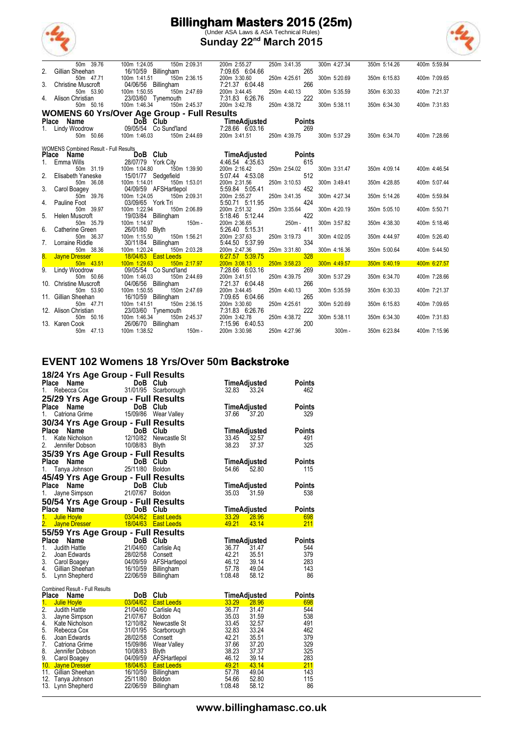

(Under ASA Laws & ASA Technical Rules) **Sunday 22nd March 2015**



|    | 50m 39.76                                    | 100m 1:24.05<br>150m 2:09.31                        | 200m 2:55.27                    | 250m 3:41.35        | 300m 4:27.34 | 350m 5:14.26 | 400m 5:59.84 |
|----|----------------------------------------------|-----------------------------------------------------|---------------------------------|---------------------|--------------|--------------|--------------|
|    | Gillian Sheehan                              | 16/10/59 Billingham                                 | 7:09.65 6:04.66                 | 265                 |              |              |              |
|    | 50m 47.71                                    | 150m 2:36.15<br>100m 1:41.51                        | 200m 3:30.60                    | 250m 4:25.61        | 300m 5:20.69 | 350m 6:15.83 | 400m 7:09.65 |
| 3. | <b>Christine Muscroft</b>                    | 04/06/56 Billingham                                 | 7:21.37 6:04.48                 | 266                 |              |              |              |
|    | 50m 53.90                                    | 100m 1:50.55<br>150m 2:47.69                        | 200m 3:44.45                    | 250m 4:40.13        | 300m 5:35.59 | 350m 6:30.33 | 400m 7:21.37 |
|    | Alison Christian<br>50m 50.16                | 23/03/60 Tynemouth<br>100m 1:46.34<br>150m 2:45.37  | 7:31.83 6:26.76<br>200m 3:42.78 | 222<br>250m 4:38.72 | 300m 5:38.11 |              | 400m 7:31.83 |
|    |                                              |                                                     |                                 |                     |              | 350m 6:34.30 |              |
|    |                                              | <b>WOMENS 60 Yrs/Over Age Group - Full Results</b>  |                                 |                     |              |              |              |
|    | Place Name                                   | Do <b>B</b> Club                                    | TimeAdjusted                    | <b>Points</b>       |              |              |              |
| 1. | Lindy Woodrow                                | 09/05/54 Co Sund'land                               | 7:28.66 6.03.16                 | 269                 |              |              |              |
|    | 50m 50.66                                    | 100m 1:46.03<br>150m 2:44.69                        | 200m 3:41.51                    | 250m 4:39.75        | 300m 5:37.29 | 350m 6:34.70 | 400m 7:28.66 |
|    | <b>WOMENS Combined Result - Full Results</b> |                                                     |                                 |                     |              |              |              |
|    | <b>Place</b><br>Name                         | DoB Club                                            | TimeAdjusted                    | <b>Points</b>       |              |              |              |
|    | Emma Wills                                   | 28/07/79 York City                                  | 4.46.54 4.35.63                 | 615                 |              |              |              |
|    | 50m 31.19                                    | 100m 1:04.80<br>150m 1:39.90                        | 200m 2:16.42                    | 250m 2:54.02        | 300m 3:31.47 | 350m 4:09.14 | 400m 4:46.54 |
|    | Elisabeth Yaneske                            | 15/01/77 Sedgefield                                 | 5:07.44 4:53.08                 | 512                 |              |              |              |
|    | 50m 36.08                                    | 100m 1:14.01<br>150m 1:53.01                        | 200m 2:31.56                    | 250m 3:10.53        | 300m 3:49.41 | 350m 4:28.85 | 400m 5:07.44 |
| 3. | Carol Boagey                                 | 04/09/59 AFSHartlepol                               | 5:59.84 5:05.41                 | 452                 |              |              |              |
|    | 50m 39.76                                    | 100m 1:24.05<br>150m 2:09.31                        | 200m 2:55.27                    | 250m 3:41.35        | 300m 4:27.34 | 350m 5:14.26 | 400m 5:59.84 |
| 4. | Pauline Foot                                 | 03/09/65 York Tri                                   | 5:50.71 5:11.95                 | 424                 |              |              |              |
|    | 50m 39.97                                    | 100m 1:22.94<br>150m 2:06.89                        | 200m 2:51.32                    | 250m 3:35.64        | 300m 4:20.19 | 350m 5:05.10 | 400m 5:50.71 |
| 5. | Helen Muscroft                               | 19/03/84 Billingham                                 | 5:18.46 5:12.44                 | 422                 |              |              |              |
|    | 50m 35.79                                    | 100m 1:14.97<br>$150m -$                            | 200m 2:36.65                    | 250m -              | 300m 3:57.82 | 350m 4:38.30 | 400m 5:18.46 |
| 6. | Catherine Green                              | 26/01/80 Blyth                                      | 5:26.40 5:15.31                 | 411                 |              |              |              |
|    | 50m 36.37<br>Lorraine Riddle                 | 100m 1:15.50<br>150m 1:56.21<br>30/11/84 Billingham | 200m 2:37.63<br>5:44.50 5:37.99 | 250m 3:19.73<br>334 | 300m 4:02.05 | 350m 4:44.97 | 400m 5:26.40 |
|    | 50m 38.36                                    | 150m 2:03.28<br>100m 1:20.24                        | 200m 2:47.36                    | 250m 3:31.80        | 300m 4:16.36 | 350m 5:00.64 | 400m 5:44.50 |
| 8. | <b>Jayne Dresser</b>                         | 18/04/63 East Leeds                                 | 6:27.57 5:39.75                 | 328                 |              |              |              |
|    | 50m 43.51                                    | 100m 1:29.63<br>150m 2:17.97                        | 200m 3:08.13                    | 250m 3:58.23        | 300m 4:49.57 | 350m 5:40.19 | 400m 6:27.57 |
|    | Lindy Woodrow                                | 09/05/54 Co Sund'land                               | 7:28.66 6:03.16                 | 269                 |              |              |              |
|    | 50m 50.66                                    | 100m 1:46.03<br>150m 2:44.69                        | 200m 3:41.51                    | 250m 4:39.75        | 300m 5:37.29 | 350m 6:34.70 | 400m 7:28.66 |
|    | 10. Christine Muscroft                       | 04/06/56 Billingham                                 | 7:21.37 6:04.48                 | 266                 |              |              |              |
|    | 50m 53.90                                    | 150m 2:47.69<br>100m 1:50.55                        | 200m 3:44.45                    | 250m 4:40.13        | 300m 5:35.59 | 350m 6:30.33 | 400m 7:21.37 |
|    | 11. Gillian Sheehan                          | 16/10/59 Billingham                                 | 7:09.65 6:04.66                 | 265                 |              |              |              |
|    | 50m 47.71                                    | 100m 1:41.51<br>150m 2:36.15                        | 200m 3:30.60                    | 250m 4:25.61        | 300m 5:20.69 | 350m 6:15.83 | 400m 7:09.65 |
|    | 12. Alison Christian                         | 23/03/60 Tynemouth                                  | 7:31.83 6:26.76                 | 222                 |              |              |              |
|    | 50m 50.16                                    | 100m 1:46.34<br>150m 2:45.37                        | 200m 3:42.78                    | 250m 4:38.72        | 300m 5:38.11 | 350m 6:34.30 | 400m 7:31.83 |
|    | 13. Karen Cook                               | 26/06/70 Billingham                                 | 7:15.96 6:40.53                 | 200                 |              |              |              |
|    | 50m 47.13                                    | 100m 1:38.52<br>$150m -$                            | 200m 3:30.98                    | 250m 4:27.96        | $300m -$     | 350m 6:23.84 | 400m 7:15.96 |

#### **EVENT 102 Womens 18 Yrs/Over 50m Backstroke**

|                |                                               | 18/24 Yrs Age Group - Full Results                                |                     |                     |                     |  |
|----------------|-----------------------------------------------|-------------------------------------------------------------------|---------------------|---------------------|---------------------|--|
|                |                                               | <b>Place Name DoB Club</b><br>1. Rebecca Cox 31/01/95 Scarborough |                     | TimeAdjusted        | <b>Points</b>       |  |
|                |                                               |                                                                   |                     | 32.83 33.24         | 462                 |  |
|                |                                               | 25/29 Yrs Age Group - Full Results                                |                     |                     |                     |  |
| Place          |                                               | Name DoB Club                                                     |                     | TimeAdjusted        | <b>Points</b>       |  |
| 1.             |                                               | Catriona Grime 15/09/86 Wear Valley                               |                     | 37.66               | 37.20<br>329        |  |
|                |                                               | 30/34 Yrs Age Group - Full Results                                |                     |                     |                     |  |
| Place          | Name                                          |                                                                   |                     | TimeAdjusted        | <b>Points</b>       |  |
| 1.             | Kate Nicholson                                | $\overline{D}$ DoB Club<br>12/10/82 Newcastle St                  |                     | 33.45               | 491<br>32.57        |  |
| 2.             | Jennifer Dobson                               | 10/08/83 Blyth                                                    |                     | 38.23               | 325<br>37.37        |  |
|                |                                               | 35/39 Yrs Age Group - Full Results                                |                     |                     |                     |  |
| Place          | Name                                          | DoB Club                                                          |                     | TimeAdjusted        | <b>Points</b>       |  |
| 1.             |                                               | Tanya Johnson 25/11/80 Boldon                                     |                     | 54.66               | 115<br>52.80        |  |
|                |                                               | 45/49 Yrs Age Group - Full Results                                |                     |                     |                     |  |
| Place          | Name                                          | an an Salaman.<br>Tagairtí<br>DoB Club                            |                     | TimeAdjusted        | <b>Points</b>       |  |
| 1.             |                                               | Jayne Simpson 21/07/67                                            | <b>Boldon</b>       | 35.03 31.59         | 538                 |  |
|                |                                               |                                                                   |                     |                     |                     |  |
|                |                                               | 50/54 Yrs Age Group - Full Results                                |                     |                     |                     |  |
|                | Place Name                                    | DoB Club                                                          |                     | <b>TimeAdjusted</b> | <b>Points</b>       |  |
|                | 1. Julie Hoyle                                |                                                                   | 03/04/62 East Leeds | 33.29 28.96         | 698                 |  |
|                |                                               | 2. Jayne Dresser 18/04/63 East Leeds                              |                     | 49.21               | 211<br>43.14        |  |
|                |                                               | 55/59 Yrs Age Group - Full Results                                |                     |                     |                     |  |
| Place          | Name                                          | DoB Club<br><b>DoB Club</b><br>21/04/60 Carlisle Aq               |                     | TimeAdjusted        | <b>Points</b>       |  |
| 1.             | Judith Hattle                                 |                                                                   |                     | 36.77 31.47         | 544                 |  |
| 2.             | Joan Edwards                                  | 28/02/58 Consett                                                  |                     | 42.21               | 35.51<br>379        |  |
|                |                                               | 3. Carol Boagey 04/09/59                                          | AFSHartlepol        | 46.12               | 39.14<br>283        |  |
|                | 4. Gillian Sheehan                            | 16/10/59                                                          | Billingham          | 57.78               | 49.04<br>143        |  |
|                | 5. Lynn Shepherd                              | 22/06/59                                                          | Billingham          | 1:08.48             | 58.12<br>86         |  |
|                |                                               |                                                                   |                     |                     |                     |  |
| Place          | <b>Combined Result - Full Results</b><br>Name | DoB                                                               | Club                | TimeAdjusted        | <b>Points</b>       |  |
| 1 <sub>1</sub> | Julie Hoyle                                   | 03/04/62                                                          | <b>East Leeds</b>   | 33.29               | <b>28.96</b><br>698 |  |
| 2.             | Judith Hattle                                 | 21/04/60                                                          | Carlisle Aq         | 36.77               | 544<br>31.47        |  |
| 3.             | Jayne Simpson                                 | 21/07/67                                                          | <b>Boldon</b>       | 35.03               | 31.59<br>538        |  |
|                | 4. Kate Nicholson                             | 12/10/82                                                          | Newcastle St        | 33.45               | 32.57<br>491        |  |
| 5.             | Rebecca Cox                                   | 31/01/95                                                          | Scarborough         | 32.83               | 33.24<br>462        |  |
| 6.             | Joan Edwards                                  | 28/02/58                                                          | Consett             | 42.21               | 35.51<br>379        |  |
| 7.             | Catriona Grime                                | 15/09/86                                                          | Wear Valley         | 37.66               | 329<br>37.20        |  |
| 8.             | Jennifer Dobson                               | 10/08/83                                                          | <b>Blyth</b>        | 38.23               | 325<br>37.37        |  |

9. Carol Boagey 04/09/59 AFSHartlepol 46.12 39.14 283 10. Jayne Dresser 18/04/63 East Leeds 49.21 43.14 211 11. Gillian Sheehan 16/10/59 Billingham 57.78 49.04 143 12. Tanya Johnson 25/11/80 Boldon 54.66 52.80 115 13. Lynn Shepherd 22/06/59 Billingham 1:08.48 58.12 86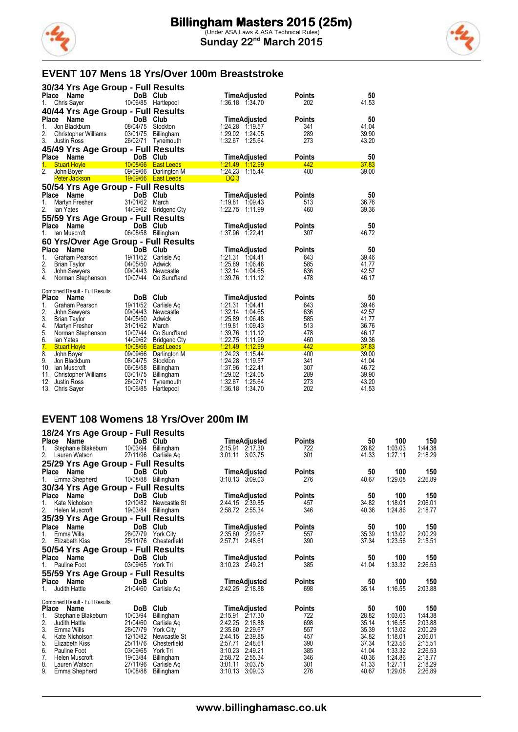



#### **EVENT 107 Mens 18 Yrs/Over 100m Breaststroke**

| 30/34 Yrs Age Group - Full Results                                                                                 |                |
|--------------------------------------------------------------------------------------------------------------------|----------------|
| DoB Club<br>Place Name<br><b>Points</b><br>TimeAdjusted                                                            | 50             |
| 10/06/85<br>202<br>Chris Sayer<br>Hartlepool<br>1:36.18 1:34.70<br>1.                                              | 41.53          |
| 40/44 Yrs Age Group - Full Results                                                                                 |                |
| Place Name<br>DoB Club<br><b>TimeAdjusted</b><br><b>Points</b>                                                     | 50             |
| 08/04/75 Stockton<br>Jon Blackburn<br>1:24.28 1:19.57<br>341<br>1.                                                 | 41.04          |
| 289<br>2.<br>03/01/75<br>1:29.02 1:24.05<br><b>Christopher Williams</b><br>Billingham                              | 39.90          |
| 3.<br>1:32.67<br>273<br>26/02/71 Tynemouth<br>1:25.64<br>Justin Ross                                               | 43.20          |
| 45/49 Yrs Age Group - Full Results                                                                                 |                |
| DoB Club<br>Place Name<br>TimeAdjusted<br><b>Points</b>                                                            | 50             |
| <b>Stuart Hoyle</b><br>10/08/66  East Leeds<br>1.<br>442                                                           | 37.83          |
| 2.<br>09/09/66<br>1:24.23<br>400<br>John Boyer<br>Darlington M<br>1.15.44                                          | 39.00          |
| DQ <sub>3</sub><br><b>Peter Jackson</b><br>19/09/66  East Leeds                                                    |                |
| 50/54 Yrs Age Group - Full Results                                                                                 |                |
| Place<br>Name<br>DoB Club<br><b>Points</b><br>TimeAdjusted                                                         | 50             |
| 31/01/62 March<br>1:19.81 1:09.43<br>513<br>1.<br>Martyn Fresher                                                   | 36.76          |
| 2.<br>14/09/62 Bridgend Cty<br>460<br>1:22.75 1:11.99<br>lan Yates                                                 | 39.36          |
| 55/59 Yrs Age Group - Full Results                                                                                 |                |
| DoB Club<br>Place<br>Name<br><b>TimeAdjusted</b><br><b>Points</b>                                                  | 50             |
| 06/08/58<br>lan Muscroft<br>Billingham<br>1:37.96 1:22.41<br>307<br>1.                                             | 46.72          |
| 60 Yrs/Over Age Group - Full Results                                                                               |                |
| Place<br>Name<br>DoB Club<br>TimeAdjusted<br><b>Points</b>                                                         | 50             |
| 19/11/52<br>1:21.31 1:04.41<br>643<br>1.<br>Graham Pearson<br>Carlisle Ag                                          | 39.46          |
| 2.<br>1:25.89<br>585<br>04/05/50 Adwick<br><b>Brian Taylor</b><br>1:06.48                                          | 41.77          |
| 3.<br>09/04/43<br>1:32.14<br>636<br>John Sawyers<br>Newcastle<br>1:04.65                                           | 42.57          |
| 10/07/44 Co Sund'land<br>1.39.76<br>478<br>4.<br>Norman Stephenson<br>1:11.12                                      | 46.17          |
| Combined Result - Full Results                                                                                     |                |
| DoB Club<br>Place Name<br><b>TimeAdjusted</b><br><b>Points</b>                                                     | 50             |
| 19/11/52 Carlisle Aq<br>1:21.31 1:04.41<br>$1_{\cdot}$<br>Graham Pearson<br>643                                    | 39.46          |
| 2.<br>09/04/43<br>1:32.14<br>636<br>1.04.65<br>John Sawyers<br>Newcastle                                           | 42.57          |
| 3.<br>1:25.89<br>04/05/50<br>1:06.48<br>585<br><b>Brian Taylor</b><br>Adwick                                       | 41.77          |
| 1:19.81<br>513<br>4.<br>31/01/62 March<br>1.09.43<br>Martyn Fresher                                                | 36.76          |
| 10/07/44 Co Sund'land<br>1.39.76<br>478<br>5.<br>Norman Stephenson<br>1:11.12                                      | 46.17          |
| 6.<br>14/09/62<br>1:22.75<br>1:11.99<br>460<br>lan Yates<br><b>Bridgend Cty</b>                                    | 39.36          |
| 7.<br>10/08/66  East Leeds<br>1.21.49<br>1:12.99<br>442<br><b>Stuart Hoyle</b>                                     | 37.83          |
| 8.<br>1.24.23<br>09/09/66 Darlington M<br>1:15.44<br>400<br>John Boyer                                             | 39.00          |
| 9.<br>1:24.28<br>08/04/75<br>1.19.57<br>341<br>Jon Blackburn<br>Stockton<br>1:37.96<br>307<br>1:22.41              | 41.04<br>46.72 |
| 10. Ian Muscroft<br>06/08/58 Billingham<br>03/01/75<br>1:29.02<br>289<br>1:24.05                                   | 39.90          |
| 11. Christopher Williams<br>Billingham<br>1:32.67<br>273<br>12.<br>Justin Ross<br>26/02/71<br>1:25.64<br>Tynemouth | 43.20          |
|                                                                                                                    |                |

#### **EVENT 108 Womens 18 Yrs/Over 200m IM**

|              | 18/24 Yrs Age Group - Full Results         |                  |                    |               |       |                |         |
|--------------|--------------------------------------------|------------------|--------------------|---------------|-------|----------------|---------|
| <b>Place</b> | Name                                       | DoB<br>Club      | TimeAdjusted       | <b>Points</b> | 50    | 100            | 150     |
| 1.           | 10/03/94<br>Stephanie Blakeburn            | Billingham       | 2:15.91 2:17.30    | 722           | 28.82 | 1:03.03        | 1:44.38 |
| 2.           | 27/11/96<br>Lauren Watson                  | Carlisle Ag      | 3:01.11 3:03.75    | 301           | 41.33 | 1:27.11        | 2:18.29 |
|              | 25/29 Yrs Age Group - Full Results         |                  |                    |               |       |                |         |
| Place        | Name                                       | DoB<br>Club      | TimeAdjusted       | <b>Points</b> | 50    | 100            | 150     |
| 1.           | 10/08/88<br>Emma Shepherd                  | Billingham       | 3:10.13 3:09.03    | 276           | 40.67 | 1:29.08        | 2:26.89 |
|              | 30/34 Yrs Age Group - Full Results         |                  |                    |               |       |                |         |
| Place        | Name<br>DoB                                | Club             | TimeAdjusted       | <b>Points</b> | 50    | 100            | 150     |
| 1.           | 12/10/82<br>Kate Nicholson                 | Newcastle St     | 2:44.15 2:39.85    | 457           | 34.82 | 1:18.01        | 2:06.01 |
| 2.           | 19/03/84<br>Helen Muscroft                 | Billingham       | 2:58.72 2:55.34    | 346           | 40.36 | 1.24.86        | 2:18.77 |
|              | 35/39 Yrs Age Group - Full Results         |                  |                    |               |       |                |         |
| <b>Place</b> | <b>DoB</b><br>Name                         | Club             | TimeAdjusted       | <b>Points</b> | 50    | 100            | 150     |
|              | 28/07/79<br>Emma Wills                     | <b>York City</b> | 2:35.60<br>2.29.67 | 557           | 35.39 | 1:13.02        | 2:00.29 |
| 2.           | 25/11/76<br>Elizabeth Kiss                 | Chesterfield     | 2:57.71<br>2:48.61 | 390           | 37.34 | 1:23.56        | 2:15.51 |
|              |                                            |                  |                    |               |       |                |         |
| Place        | 50/54 Yrs Age Group - Full Results<br>Name | Club             |                    |               | 50    |                |         |
|              | <b>DoB</b>                                 |                  | TimeAdjusted       | <b>Points</b> |       | 100<br>1:33.32 | 150     |
|              | 03/09/65<br>Pauline Foot                   | York Tri         | 3:10.23 2:49.21    | 385           | 41.04 |                | 2:26.53 |
|              | 55/59 Yrs Age Group - Full Results         |                  |                    |               |       |                |         |
| Place        | DoB<br>Name                                | Club             | TimeAdjusted       | <b>Points</b> | 50    | 100            | 150     |
|              | 21/04/60<br>Judith Hattle                  | Carlisle Ag      | 2.42.25 2.18.88    | 698           | 35.14 | 1:16.55        | 2:03.88 |
|              | <b>Combined Result - Full Results</b>      |                  |                    |               |       |                |         |
| <b>Place</b> | <b>DoB</b><br>Name                         | Club             | TimeAdjusted       | Points        | 50    | 100            | 150     |
| 1.           | 10/03/94<br>Stephanie Blakeburn            | Billingham       | 2:15.91<br>2:17.30 | 722           | 28.82 | 1.03.03        | 1:44.38 |
| 2.           | 21/04/60<br>Judith Hattle                  | Carlisle Aq      | 2:42.25<br>2:18.88 | 698           | 35.14 | 1:16.55        | 2:03.88 |
| 3.           | 28/07/79<br>Emma Wills                     | <b>York City</b> | 2:35.60<br>2.29.67 | 557           | 35.39 | 1:13.02        | 2:00.29 |
| 4.           | 12/10/82<br>Kate Nicholson                 | Newcastle St     | 2.39.85<br>2.44.15 | 457           | 34.82 | 1:18.01        | 2:06.01 |
| 5.           | 25/11/76<br>Elizabeth Kiss                 | Chesterfield     | 2.48.61<br>2:57.71 | 390           | 37.34 | 1:23.56        | 2:15.51 |
| 6.           | 03/09/65<br>Pauline Foot                   | York Tri         | 2:49.21<br>3:10.23 | 385           | 41.04 | 1:33.32        | 2:26.53 |
| 7.           | 19/03/84<br>Helen Muscroft                 | Billingham       | 2:58.72<br>2:55.34 | 346           | 40.36 | 1:24.86        | 2:18.77 |
| 8.           | 27/11/96<br>Lauren Watson                  | Carlisle Aq      | 3:03.75<br>3:01.11 | 301           | 41.33 | 1:27.11        | 2:18.29 |
| 9.           | 10/08/88<br>Emma Shepherd                  | Billingham       | 3:10.13<br>3:09.03 | 276           | 40.67 | 1:29.08        | 2:26.89 |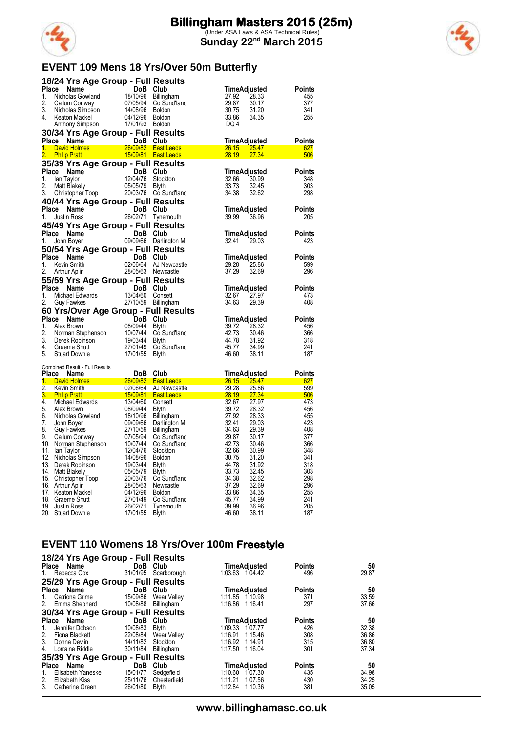

### **EVENT 109 Mens 18 Yrs/Over 50m Butterfly**

|                        |                                     | 18/24 Yrs Age Group - Full Results                                                                                                                                                                                                   |                       |                                |                      |
|------------------------|-------------------------------------|--------------------------------------------------------------------------------------------------------------------------------------------------------------------------------------------------------------------------------------|-----------------------|--------------------------------|----------------------|
| Place                  |                                     | <b>Ce Name Contains Community Community Community Community Community Community Community Community Community Community Community Community Community Community Community Community Community Community Community Community Comm</b> |                       | TimeAdjusted                   | Points               |
| 1.                     |                                     |                                                                                                                                                                                                                                      | Billingham            | 27.92<br>28.33                 | 455                  |
| 2.                     |                                     |                                                                                                                                                                                                                                      | Co Sund'land          | 29.87<br>30.17                 | 377                  |
| 3.                     | Nicholas Simpson                    | 14/08/96                                                                                                                                                                                                                             | <b>Boldon</b>         | 30.75<br>31.20                 | 341                  |
| 4.                     | Keaton Mackel                       | 04/12/96                                                                                                                                                                                                                             | Boldon                | 33.86<br>34.35                 | 255                  |
|                        | Anthony Simpson                     | 17/01/93 Boldon                                                                                                                                                                                                                      |                       | DQ 4                           |                      |
|                        |                                     | 30/34 Yrs Age Group - Full Results                                                                                                                                                                                                   |                       |                                |                      |
|                        | Place Name                          | DoB Club                                                                                                                                                                                                                             |                       | TimeAdjusted                   | Points               |
| 1.<br>$\overline{2}$ . | David Holmes<br><b>Philip Pratt</b> | 15/09/81 East Leeds                                                                                                                                                                                                                  | 26/09/82 East Leeds   | 26.15 25.47<br>28.19<br>27.34  | 627<br>506           |
|                        |                                     | 35/39 Yrs Age Group - Full Results                                                                                                                                                                                                   |                       |                                |                      |
|                        | Place Name                          |                                                                                                                                                                                                                                      |                       | TimeAdjusted                   | Points               |
| 1.                     | lan Taylor                          | DoB Club<br>12/04/76 Stockton                                                                                                                                                                                                        |                       | 32.66<br>30.99                 | 348                  |
| 2.                     | Matt Blakely                        | 05/05/79 Blyth                                                                                                                                                                                                                       |                       | 33.73<br>32.45                 | 303                  |
| 3.                     | Christopher Toop                    | 20/03/76 Co Sund'land                                                                                                                                                                                                                |                       | 34.38<br>32.62                 | 298                  |
|                        |                                     | 40/44 Yrs Age Group - Full Results                                                                                                                                                                                                   |                       |                                |                      |
|                        | Place Name                          |                                                                                                                                                                                                                                      |                       | TimeAdjusted                   | Points               |
| 1.                     | <b>Justin Ross</b>                  | DoB Club<br>26/02/71 Tynemouth                                                                                                                                                                                                       |                       | 39.99 36.96                    | 205                  |
|                        |                                     | 45/49 Yrs Age Group - Full Results                                                                                                                                                                                                   |                       |                                |                      |
|                        | Place Name                          | DoB Club                                                                                                                                                                                                                             |                       | TimeAdjusted                   | <b>Points</b>        |
| 1.                     | John Boyer                          |                                                                                                                                                                                                                                      | 09/09/66 Darlington M | 32.41<br>29.03                 | 423                  |
|                        |                                     | 50/54 Yrs Age Group - Full Results                                                                                                                                                                                                   |                       |                                |                      |
|                        | Place Name                          |                                                                                                                                                                                                                                      |                       |                                |                      |
| 1.                     | Kevin Smith                         |                                                                                                                                                                                                                                      | 02/06/64 AJ Newcastle | TimeAdjusted<br>29.28<br>25.86 | Points<br>599        |
| 2.                     | Arthur Aplin                        | 28/05/63 Newcastle                                                                                                                                                                                                                   |                       | 37.29<br>32.69                 | 296                  |
|                        |                                     |                                                                                                                                                                                                                                      |                       |                                |                      |
|                        |                                     | 55/59 Yrs Age Group - Full Results                                                                                                                                                                                                   |                       |                                |                      |
| 1.                     | Place Name                          | <b>Se Name DoB Club</b><br>Michael Edwards 13/04/60 Consett<br>Guy Fawkes 27/10/59 Billingham                                                                                                                                        |                       | TimeAdjusted<br>32.67<br>27.97 | <b>Points</b><br>473 |
| 2.                     |                                     |                                                                                                                                                                                                                                      |                       | 34.63<br>29.39                 | 408                  |
|                        |                                     |                                                                                                                                                                                                                                      |                       |                                |                      |
|                        | Place Name                          | 60 Yrs/Over Age Group - Full Results                                                                                                                                                                                                 |                       |                                | Points               |
| 1.                     |                                     | DoB Club<br>08/09/44 Blyth<br>Alex Brown<br>Norman Stephenson 10/07/44 Blyth<br>Derek Robinson 19/03/44 Blyth<br>Graeme Shutt 19/03/44 Blyth<br>Craeme Shutt 19/03/44 Blyth                                                          |                       | TimeAdjusted<br>28.32<br>39.72 | 456                  |
| 2.                     |                                     |                                                                                                                                                                                                                                      | 10/07/44 Co Sund'land | 42.73<br>30.46                 | 366                  |
| 3.                     |                                     |                                                                                                                                                                                                                                      |                       | 44.78<br>31.92                 | 318                  |
| 4.                     |                                     |                                                                                                                                                                                                                                      | Co Sund'land          | 45.77<br>34.99                 | 241                  |
| 5.                     | <b>Stuart Downie</b>                | 17/01/55                                                                                                                                                                                                                             | <b>Blyth</b>          | 46.60<br>38.11                 | 187                  |
|                        |                                     |                                                                                                                                                                                                                                      |                       |                                |                      |
|                        | Combined Result - Full Results      | DoB Club                                                                                                                                                                                                                             |                       | TimeAdjusted                   | Points               |
| 1.                     | Place Name<br><b>David Holmes</b>   | 26/09/82                                                                                                                                                                                                                             | <b>East Leeds</b>     | 26.15 25.47                    | 627                  |
| 2.                     | Kevin Smith                         | 02/06/64                                                                                                                                                                                                                             | AJ Newcastle          | 29.28<br>25.86                 | 599                  |
| $3_{-}$                | <b>Philip Pratt</b>                 | <u>15/09/81</u>                                                                                                                                                                                                                      | <b>East Leeds</b>     | 28.19<br>27.34                 | 506                  |
| 4.                     | Michael Edwards                     | 13/04/60                                                                                                                                                                                                                             | Consett               | 32.67<br>27.97                 | 473                  |
| 5.                     | Alex Brown                          | 08/09/44                                                                                                                                                                                                                             | <b>Blyth</b>          | 39.72<br>28.32                 | 456                  |
| 6.                     | Nicholas Gowland                    | 18/10/96                                                                                                                                                                                                                             | Billingham            | 27.92<br>28.33                 | 455                  |
| 7.                     | John Boyer                          | 09/09/66                                                                                                                                                                                                                             | Darlington M          | 32.41<br>29.03                 | 423                  |
| 8.                     | Guy Fawkes                          | 27/10/59                                                                                                                                                                                                                             | <b>Billingham</b>     | 34.63<br>29.39                 | 408                  |
| 9.                     | Callum Conway                       | 07/05/94                                                                                                                                                                                                                             | Co Sund'land          | 29.87<br>30.17                 | 377                  |
|                        | 10. Norman Stephenson               | 10/07/44                                                                                                                                                                                                                             | Co Sund'land          | 42.73<br>30.46                 | 366                  |
| 11.                    | lan Taylor                          | 12/04/76                                                                                                                                                                                                                             | Stockton              | 32.66<br>30.99                 | 348                  |

| $\frac{1}{2}$ . $\frac{1}{2}$ $\frac{1}{2}$ . $\frac{1}{2}$ | <u>.</u> | <b>UU UU IU IUI IU</b> | ----  | <u>.</u> |     |
|-------------------------------------------------------------|----------|------------------------|-------|----------|-----|
| 10. Norman Stephenson                                       | 10/07/44 | Co Sund'land           | 42.73 | 30.46    | 366 |
| 11. Ian Taylor                                              | 12/04/76 | Stockton               | 32.66 | 30.99    | 348 |
| 12. Nicholas Simpson                                        | 14/08/96 | Boldon                 | 30.75 | 31.20    | 341 |
| 13. Derek Robinson                                          | 19/03/44 | <b>B</b> lvth          | 44.78 | 31.92    | 318 |
| 14. Matt Blakely                                            | 05/05/79 | <b>Blyth</b>           | 33.73 | 32.45    | 303 |
| 15. Christopher Toop                                        | 20/03/76 | Co Sund'land           | 34.38 | 32.62    | 298 |
| 16. Arthur Aplin                                            | 28/05/63 | Newcastle              | 37.29 | 32.69    | 296 |
| 17. Keaton Mackel                                           | 04/12/96 | <b>Boldon</b>          | 33.86 | 34.35    | 255 |
| 18. Graeme Shutt                                            | 27/01/49 | Co Sund'land           | 45.77 | 34.99    | 241 |
| 19. Justin Ross                                             | 26/02/71 | Tynemouth              | 39.99 | 36.96    | 205 |
| 20. Stuart Downie                                           | 17/01/55 | <b>Blyth</b>           | 46.60 | 38.11    | 187 |
|                                                             |          |                        |       |          |     |

### **EVENT 110 Womens 18 Yrs/Over 100m Freestyle**

| Place Name<br>Rebecca Cox<br>1.                        | 18/24 Yrs Age Group - Full Results<br>31/01/95 | DoB Club<br>Scarborough                  |         | TimeAdjusted<br>1:03.63 1:04.42                   | <b>Points</b><br>496        | 50<br>29.87          |
|--------------------------------------------------------|------------------------------------------------|------------------------------------------|---------|---------------------------------------------------|-----------------------------|----------------------|
|                                                        | 25/29 Yrs Age Group - Full Results             |                                          |         |                                                   |                             |                      |
| Place Name<br>Catriona Grime<br>1.<br>2. Emma Shepherd | DoB<br>15/09/86<br>10/08/88                    | Club<br><b>Wear Valley</b><br>Billingham | 1:16.86 | <b>TimeAdjusted</b><br>1:11.85 1.10.98<br>1:16.41 | <b>Points</b><br>371<br>297 | 50<br>33.59<br>37.66 |
|                                                        | 30/34 Yrs Age Group - Full Results             |                                          |         |                                                   |                             |                      |
| <b>Place</b><br>Name                                   | <b>DoB</b>                                     | Club                                     |         | <b>TimeAdjusted</b>                               | <b>Points</b>               | 50                   |
| Jennifer Dobson<br>1.                                  | 10/08/83                                       | Blyth                                    |         | 1:09.33 1:07.77                                   | 426                         | 32.38                |
| 2.<br>Fiona Blackett                                   | 22/08/84                                       | Wear Valley                              | 1:16.91 | 1.15.46                                           | 308                         | 36.86                |
| 3.<br>Donna Devlin                                     | 14/11/82                                       | Stockton                                 | 1:16.92 | 1:14.91                                           | 315                         | 36.80                |
| 4.<br>Lorraine Riddle                                  | 30/11/84                                       | Billingham                               | 1:17.50 | 1:16.04                                           | 301                         | 37.34                |
|                                                        | 35/39 Yrs Age Group - Full Results             |                                          |         |                                                   |                             |                      |
| Name<br>Place                                          | <b>DoB</b>                                     | Club                                     |         | TimeAdjusted                                      | <b>Points</b>               | 50                   |
| Elisabeth Yaneske<br>1.                                | 15/01/77                                       | Sedgefield                               | 1:10.60 | 1.07.30                                           | 435                         | 34.98                |
| 2.<br>Elizabeth Kiss                                   | 25/11/76                                       | Chesterfield                             | 1:11.21 | 1:07.56                                           | 430                         | 34.25                |
| 3.<br>Catherine Green                                  | 26/01/80                                       | <b>Blyth</b>                             | 1:12.84 | 1:10.36                                           | 381                         | 35.05                |

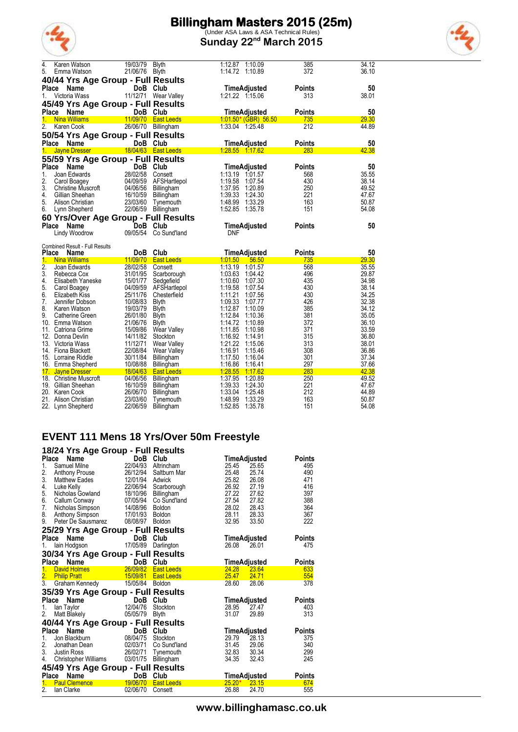

(Under ASA Laws & ASA Technical Rules) **Sunday 22nd March 2015**

|  | ı | ï |
|--|---|---|
|  | ï |   |

| 4.                     | Karen Watson                           | 19/03/79             | <b>Blyth</b>                    | 1:12.87<br>1:10.09                             | 385                  | 34.12          |
|------------------------|----------------------------------------|----------------------|---------------------------------|------------------------------------------------|----------------------|----------------|
| 5.                     | Emma Watson                            | 21/06/76 Blyth       |                                 | 1:14.72<br>1:10.89                             | 372                  | 36.10          |
|                        | 40/44 Yrs Age Group - Full Results     |                      |                                 |                                                |                      |                |
| Place                  | Name                                   |                      | DoB Club                        | <b>TimeAdjusted</b>                            | <b>Points</b>        | 50             |
| 1.                     | Victoria Wass                          |                      | 11/12/71 Wear Valley            |                                                | 313                  | 38.01          |
|                        | 45/49 Yrs Age Group - Full Results     |                      |                                 |                                                |                      |                |
| Place                  | <b>Name</b>                            |                      | DoB Club                        | <b>TimeAdjusted</b>                            | <b>Points</b>        | 50             |
| 1.<br>$\overline{2}$ . | <b>Nina Williams</b><br>Karen Cook     | 11/09/70<br>26/06/70 | <b>East Leeds</b><br>Billingham | <u>1:01.50* (GBR) 56.50</u><br>1:33.04 1:25.48 | 735<br>212           | 29.30<br>44.89 |
|                        |                                        |                      |                                 |                                                |                      |                |
|                        | 50/54 Yrs Age Group - Full Results     |                      |                                 |                                                |                      |                |
| <b>Place</b><br>1.     | Name<br><b>Jayne Dresser</b>           |                      | DoB Club<br>18/04/63 East Leeds | TimeAdjusted<br>1:28.55 1.17.62                | <b>Points</b><br>283 | 50<br>42.38    |
|                        |                                        |                      |                                 |                                                |                      |                |
|                        | 55/59 Yrs Age Group - Full Results     |                      |                                 |                                                |                      |                |
| Place<br>1.            | Name<br>Joan Edwards                   | 28/02/58 Consett     | DoB Club                        | <b>TimeAdjusted</b>                            | <b>Points</b>        | 50<br>35.55    |
| 2.                     | Carol Boagey                           | 04/09/59             | AFSHartlepol                    | 1:19.58<br>1.07.54                             | 568<br>430           | 38.14          |
| 3.                     | Christine Muscroft                     |                      | 04/06/56 Billingham             | 1:37.95<br>1:20.89                             | 250                  | 49.52          |
| 4.                     | Gillian Sheehan                        | 16/10/59             | Billingham                      | 1:39.33<br>1.24.30                             | 221                  | 47.67          |
| 5.                     | Alison Christian                       | 23/03/60             | Tynemouth                       | 1.48.99<br>1:33.29                             | 163                  | 50.87          |
| 6.                     | Lynn Shepherd                          |                      | 22/06/59 Billingham             | 1:52.85<br>1:35.78                             | 151                  | 54.08          |
|                        | 60 Yrs/Over Age Group - Full Results   |                      |                                 |                                                |                      |                |
|                        | Place Name                             | DoB.                 | Club                            | TimeAdjusted                                   | Points               | 50             |
|                        |                                        |                      |                                 |                                                |                      |                |
|                        | Lindy Woodrow                          | 09/05/54             | Co Sund'land                    | <b>DNF</b>                                     |                      |                |
|                        |                                        |                      |                                 |                                                |                      |                |
|                        | <b>Combined Result - Full Results</b>  |                      |                                 |                                                |                      |                |
| <b>Place</b>           | Name                                   |                      | DoB Club                        | <b>TimeAdjusted</b>                            | <b>Points</b>        | 50             |
| 1.<br>$\overline{2}$ . | <b>Nina Williams</b>                   | 28/02/58             | 11/09/70 East Leeds<br>Consett  | 1:01.50<br>56.50<br>1:13.19<br>1:01.57         | 735<br>568           | 29.30<br>35.55 |
| 3.                     | Joan Edwards<br>Rebecca Cox            | 31/01/95             | Scarborough                     | 1:03.63<br>1.04.42                             | 496                  | 29.87          |
| 4.                     | Elisabeth Yaneske                      | 15/01/77             | Sedgefield                      | 1:10.60<br>1:07.30                             | 435                  | 34.98          |
| 5.                     | Carol Boagey                           | 04/09/59             | AFSHartlepol                    | 1:19.58<br>1:07.54                             | 430                  | 38.14          |
| 6.                     | Elizabeth Kiss                         | 25/11/76             | Chesterfield                    | 1:11.21<br>1:07.56                             | 430                  | 34.25          |
| 7.                     | Jennifer Dobson                        | 10/08/83             | Blyth                           | 1:09.33<br>1:07.77                             | 426                  | 32.38          |
| 8.                     | Karen Watson                           | 19/03/79             | <b>Blyth</b>                    | 1:12.87<br>1:10.09                             | 385                  | 34.12          |
| 9.                     | Catherine Green                        | 26/01/80             | Blyth                           | 1:12.84<br>1:10.36                             | 381                  | 35.05          |
|                        | 10. Emma Watson                        | 21/06/76<br>15/09/86 | Blyth                           | 1.14.72<br>1:10.89<br>1:10.98                  | 372<br>371           | 36.10          |
| 12.                    | 11. Catriona Grime<br>Donna Devlin     | 14/11/82             | Wear Valley<br>Stockton         | 1:11.85<br>1:16.92<br>1:14.91                  | 315                  | 33.59          |
|                        | 13. Victoria Wass                      | 11/12/71             | Wear Valley                     | 1:21.22<br>1:15.06                             | 313                  | 36.80<br>38.01 |
|                        | 14. Fiona Blackett                     | 22/08/84             | Wear Valley                     | 1:16.91<br>1:15.46                             | 308                  | 36.86          |
|                        | 15. Lorraine Riddle                    | 30/11/84             | Billingham                      | 1:17.50<br>1:16.04                             | 301                  | 37.34          |
|                        | 16. Emma Shepherd                      | 10/08/88             | Billingham                      | 1:16.86<br>1:16.41                             | 297                  | 37.66          |
|                        | 17. Jayne Dresser                      | 18/04/63             | <b>East Leeds</b>               | 1:28.55<br>1.17.62                             | 283                  | 42.38          |
|                        | 18. Christine Muscroft                 | 04/06/56             | Billingham                      | 1.37.95<br>1:20.89                             | 250                  | 49.52          |
|                        | 19. Gillian Sheehan                    | 16/10/59             | Billingham                      | 1:39.33<br>1:24.30                             | 221                  | 47.67          |
|                        | 20. Karen Cook<br>21. Alison Christian | 26/06/70<br>23/03/60 | Billingham<br>Tynemouth         | 1:33.04<br>1:25.48<br>1.48.99<br>1:33.29       | 212<br>163           | 44.89<br>50.87 |

#### **EVENT 111 Mens 18 Yrs/Over 50m Freestyle 18/24 Yrs Age Group - Full Results**

|                | 18/24 Trs Age Group - Full Results   |                       |                       |                         |               |
|----------------|--------------------------------------|-----------------------|-----------------------|-------------------------|---------------|
|                | Place<br><b>Name</b>                 | DoB Club              |                       | TimeAdjusted            | Points        |
| 1.             | Samuel Milne                         | 22/04/93              | Altrincham            | 25.45<br>25.65          | 495           |
| 2.             | Anthony Prouse                       | 26/12/94              | Saltburn Mar          | 25.48<br>25.74          | 490           |
| 3.             | Matthew Eades                        | 12/01/94              | Adwick                | 25.82<br>26.08          | 471           |
| 4.             | Luke Kelly                           | 22/06/94              | Scarborough           | 26.92<br>27.19          | 416           |
| 5.             | Nicholas Gowland                     | 18/10/96              | Billingham            | 27.22<br>27.62          | 397           |
| 6.             | Callum Conway                        | 07/05/94              | Co Sund'land          | 27.54<br>27.82          | 388           |
| 7.             | Nicholas Simpson                     | 14/08/96              | Boldon                | 28.02<br>28.43          | 364           |
| 8.             | Anthony Simpson                      | 17/01/93 Boldon       |                       | 28.11<br>28.33          | 367           |
| 9.             | Peter De Sausmarez                   | 08/08/97              | Boldon                | 32.95<br>33.50          | 222           |
|                | 25/29 Yrs Age Group - Full Results   |                       |                       |                         |               |
|                | Name<br>Place                        | DoB Club              |                       | TimeAdjusted            | Points        |
| 1.             | lain Hodgson                         | 17/05/89              | Darlington            | 26.08<br>26.01          | 475           |
|                | 30/34 Yrs Age Group - Full Results   |                       |                       |                         |               |
|                | Place<br><b>Name</b>                 | DoB                   | Club                  | TimeAdjusted            | <b>Points</b> |
| 1 <sup>1</sup> | <b>David Holmes</b>                  | 26/09/82              | <b>East Leeds</b>     | 24.28<br>23.64          | 633           |
|                |                                      |                       | 15/09/81   East Leeds | 25.47<br>24.71          | 554           |
|                | 2. Philip Pratt<br>3. Graham Kennedy | 15/05/84 Boldon       |                       | 28.60<br>28.06          | 378           |
|                | 35/39 Yrs Age Group - Full Results   |                       |                       |                         |               |
|                | Place<br>Name                        | DoB Club              |                       | TimeAdjusted            | Points        |
| 1.             | lan Taylor                           | 12/04/76              | Stockton              | 28.95<br>27.47          | 403           |
| 2.             | Matt Blakely                         | 05/05/79              | <b>Blyth</b>          | 31.07<br>29.89          | 313           |
|                |                                      |                       |                       |                         |               |
|                | 40/44 Yrs Age Group - Full Results   |                       |                       |                         |               |
| Place          | Name                                 | DoB                   | Club                  | TimeAdjusted            | <b>Points</b> |
| 1.             | Jon Blackburn                        | 08/04/75              | Stockton              | 29.79<br>28.13          | 375           |
| 2.<br>3.       | Jonathan Dean                        |                       | 02/03/71 Co Sund'land | 31.45<br>29.06          | 340           |
|                | <b>Justin Ross</b>                   | 26/02/71              | Tynemouth             | 32.83<br>30.34<br>32.43 | 299<br>245    |
| 4.             | <b>Christopher Williams</b>          | 03/01/75              | Billingham            | 34.35                   |               |
|                | 45/49 Yrs Age Group - Full Results   |                       |                       |                         |               |
| Place          | Name                                 | DoB                   | Club                  | TimeAdjusted            | Points        |
| 1.             | <b>Paul Clemence</b>                 | $\frac{19}{19/06/70}$ | <b>East Leeds</b>     | $25.20*$<br>23.15       | 674           |
| 2 <sub>1</sub> | lan Clarke                           | 02/06/70              | Consett               | 26.88<br>24.70          | 555           |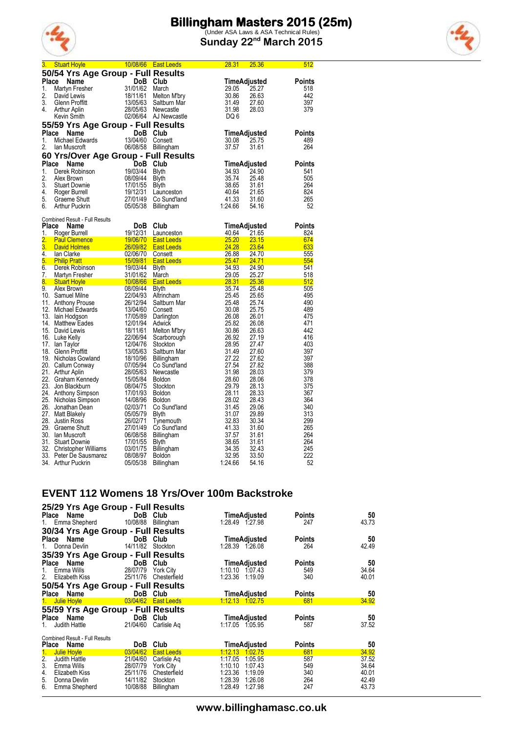

(Under ASA Laws & ASA Technical Rules) **Sunday 22nd March 2015**



| 50/54 Yrs Age Group - Full Results<br>Place<br>Name<br>DoB Club<br>TimeAdjusted<br>31/01/62<br>1.<br>March<br>Martyn Fresher<br>29.05<br>25.27<br>2.<br>David Lewis<br>18/11/61<br>Melton M'bry<br>30.86<br>26.63<br>3.<br>13/05/63<br>31.49<br>Glenn Proffitt<br>Saltburn Mar<br>27.60<br>4.<br>28/05/63<br>31.98<br>28.03<br>Newcastle<br>Arthur Aplin<br>02/06/64 AJ Newcastle<br>DQ 6<br>Kevin Smith<br>55/59 Yrs Age Group - Full Results<br>DoB Club<br>Place<br>TimeAdjusted<br>Name | <b>Points</b><br>518<br>442<br>397<br>379 |
|---------------------------------------------------------------------------------------------------------------------------------------------------------------------------------------------------------------------------------------------------------------------------------------------------------------------------------------------------------------------------------------------------------------------------------------------------------------------------------------------|-------------------------------------------|
|                                                                                                                                                                                                                                                                                                                                                                                                                                                                                             |                                           |
|                                                                                                                                                                                                                                                                                                                                                                                                                                                                                             |                                           |
|                                                                                                                                                                                                                                                                                                                                                                                                                                                                                             |                                           |
|                                                                                                                                                                                                                                                                                                                                                                                                                                                                                             |                                           |
|                                                                                                                                                                                                                                                                                                                                                                                                                                                                                             |                                           |
|                                                                                                                                                                                                                                                                                                                                                                                                                                                                                             |                                           |
|                                                                                                                                                                                                                                                                                                                                                                                                                                                                                             |                                           |
|                                                                                                                                                                                                                                                                                                                                                                                                                                                                                             |                                           |
|                                                                                                                                                                                                                                                                                                                                                                                                                                                                                             |                                           |
|                                                                                                                                                                                                                                                                                                                                                                                                                                                                                             | Points                                    |
| 13/04/60<br>Michael Edwards<br>25.75<br>1.<br>Consett<br>30.08                                                                                                                                                                                                                                                                                                                                                                                                                              | 489                                       |
| 37.57<br>2.<br>lan Muscroft<br>06/08/58 Billingham<br>31.61                                                                                                                                                                                                                                                                                                                                                                                                                                 | 264                                       |
| 60 Yrs/Over Age Group - Full Results                                                                                                                                                                                                                                                                                                                                                                                                                                                        |                                           |
| Place<br>DoB Club<br>TimeAdjusted<br>Name                                                                                                                                                                                                                                                                                                                                                                                                                                                   | <b>Points</b>                             |
| 19/03/44<br>1.<br>Derek Robinson<br>34.93<br>24.90<br><b>Blyth</b>                                                                                                                                                                                                                                                                                                                                                                                                                          | 541                                       |
| 2.<br>08/09/44<br>35.74<br>Alex Brown<br>25.48<br><b>Blyth</b>                                                                                                                                                                                                                                                                                                                                                                                                                              | 505                                       |
| 3.<br>17/01/55<br>38.65<br>31.61<br><b>Stuart Downie</b><br><b>Blyth</b>                                                                                                                                                                                                                                                                                                                                                                                                                    | 264                                       |
| 4.<br>19/12/31<br>40.64<br>21.65<br>Roger Burrell<br>Launceston                                                                                                                                                                                                                                                                                                                                                                                                                             | 824                                       |
| 41.33<br>5.<br>27/01/49<br>Graeme Shutt<br>Co Sund'land<br>31.60                                                                                                                                                                                                                                                                                                                                                                                                                            | 265                                       |
| 6.<br>1:24.66<br><b>Arthur Puckrin</b><br>05/05/38<br>54.16<br><b>Billingham</b>                                                                                                                                                                                                                                                                                                                                                                                                            | 52                                        |
|                                                                                                                                                                                                                                                                                                                                                                                                                                                                                             |                                           |
| Combined Result - Full Results                                                                                                                                                                                                                                                                                                                                                                                                                                                              |                                           |
| Place<br><b>DoB</b><br>Club<br>TimeAdjusted<br>Name                                                                                                                                                                                                                                                                                                                                                                                                                                         | <b>Points</b>                             |
| 19/12/31<br>1.<br>40.64<br>21.65<br>Roger Burrell<br>Launceston                                                                                                                                                                                                                                                                                                                                                                                                                             | 824                                       |
| $\overline{2}$ .<br>25.20<br>Paul Clemence<br>David Holmes<br>David Holmes<br>lan Clarke<br>Philip Pratt<br>Derek Robinson<br>Derek Robinson<br>19/03/44<br><b>23.15</b><br><b>East Leeds</b>                                                                                                                                                                                                                                                                                               | 674                                       |
| 3.<br>24.28<br>23.64<br><b>East Leeds</b>                                                                                                                                                                                                                                                                                                                                                                                                                                                   | 633                                       |
| 4.<br>26.88<br>24.70<br>Consett                                                                                                                                                                                                                                                                                                                                                                                                                                                             | 555                                       |
| $\frac{25.47}{25.47}$<br>5.<br>24.71<br><b>East Leeds</b>                                                                                                                                                                                                                                                                                                                                                                                                                                   | 554                                       |
| 6.<br>34.93<br>24.90<br><b>Blyth</b>                                                                                                                                                                                                                                                                                                                                                                                                                                                        | 541                                       |
| 7.<br>31/01/62<br>25.27<br>Martyn Fresher                                                                                                                                                                                                                                                                                                                                                                                                                                                   | 518                                       |
| Blyth<br>March 29.05<br><b>East Leeds 28.31</b><br>at the 35.74<br>8.<br>25.36                                                                                                                                                                                                                                                                                                                                                                                                              | 512                                       |
| Stuart Hoyle<br>Alex Brown 108/09/44<br>9.<br>08/09/44<br>25.48<br>Alex Brown                                                                                                                                                                                                                                                                                                                                                                                                               | 505                                       |
| 10. Samuel Milne<br>22/04/93<br>25.45<br>Altrincham<br>25.65                                                                                                                                                                                                                                                                                                                                                                                                                                | 495                                       |
| 26/12/94<br>25.48<br>25.74<br>11. Anthony Prouse<br>Saltburn Mar                                                                                                                                                                                                                                                                                                                                                                                                                            | 490                                       |
| 12. Michael Edwards<br>13. Jain Hodgson<br>13/04/60<br>30.08<br>25.75<br>Consett                                                                                                                                                                                                                                                                                                                                                                                                            | 489                                       |
| 13. Iain Hodgson<br>17/05/89<br>26.08<br>26.01<br>Darlington                                                                                                                                                                                                                                                                                                                                                                                                                                | 475                                       |
| 25.82<br>12/01/94<br>14. Matthew Eades<br>Adwick<br>26.08                                                                                                                                                                                                                                                                                                                                                                                                                                   | 471                                       |
| 15. David Lewis<br>18/11/61<br>30.86<br>26.63<br>Melton M'bry                                                                                                                                                                                                                                                                                                                                                                                                                               | 442                                       |
| 16. Luke Kelly<br>22/06/94<br>26.92<br>27.19<br>Scarborough                                                                                                                                                                                                                                                                                                                                                                                                                                 | 416                                       |
| 28.95<br>17.<br>lan Taylor<br>12/04/76<br>27.47<br>Stockton                                                                                                                                                                                                                                                                                                                                                                                                                                 | 403                                       |
| 13/05/63<br>31.49<br>27.60<br>18. Glenn Proffitt<br>Saltburn Mar                                                                                                                                                                                                                                                                                                                                                                                                                            | 397                                       |
| 18/10/96<br>27.22<br>19. Nicholas Gowland<br>27.62<br>Billingham                                                                                                                                                                                                                                                                                                                                                                                                                            | 397                                       |
| 20. Callum Conway<br>27.54<br>07/05/94<br>27.82<br>Co Sund'land                                                                                                                                                                                                                                                                                                                                                                                                                             | 388                                       |
| 31.98<br>21. Arthur Aplin<br>28/05/63<br>Newcastle<br>28.03                                                                                                                                                                                                                                                                                                                                                                                                                                 | 379                                       |
| 22. Graham Kennedy<br>15/05/84<br>28.60<br><b>Boldon</b><br>28.06                                                                                                                                                                                                                                                                                                                                                                                                                           | 378                                       |
| 23. Jon Blackburn<br>29.79<br>08/04/75<br>28.13<br>Stockton                                                                                                                                                                                                                                                                                                                                                                                                                                 | 375                                       |
| 28.11<br>24. Anthony Simpson<br>17/01/93<br>28.33<br><b>Boldon</b>                                                                                                                                                                                                                                                                                                                                                                                                                          | 367                                       |
| 25. Nicholas Simpson<br>14/08/96<br>28.02<br>28.43<br><b>Boldon</b>                                                                                                                                                                                                                                                                                                                                                                                                                         | 364                                       |
| 26. Jonathan Dean<br>31.45<br>02/03/71<br>Co Sund'land<br>29.06                                                                                                                                                                                                                                                                                                                                                                                                                             | 340                                       |
| 27. Matt Blakely<br>31.07<br>05/05/79<br>Blyth<br>29.89                                                                                                                                                                                                                                                                                                                                                                                                                                     | 313                                       |
| 32.83<br>28. Justin Ross<br>26/02/71<br>Tynemouth<br>30.34                                                                                                                                                                                                                                                                                                                                                                                                                                  | 299                                       |
| 29. Graeme Shutt<br>27/01/49<br>41.33<br>Co Sund'land<br>31.60                                                                                                                                                                                                                                                                                                                                                                                                                              | 265                                       |
| 37.57<br>30. Ian Muscroft<br>06/08/58<br>31.61<br><b>Billingham</b>                                                                                                                                                                                                                                                                                                                                                                                                                         | 264                                       |
| 38.65<br>31. Stuart Downie<br>17/01/55<br>Blyth<br>31.61                                                                                                                                                                                                                                                                                                                                                                                                                                    | 264                                       |
| 32. Christopher Williams<br>34.35<br>03/01/75<br>Billingham<br>32.43                                                                                                                                                                                                                                                                                                                                                                                                                        | 245                                       |
| 33. Peter De Sausmarez<br>08/08/97<br>32.95<br>33.50<br><b>Boldon</b>                                                                                                                                                                                                                                                                                                                                                                                                                       | 222                                       |
| 1:24.66<br>34. Arthur Puckrin<br>05/05/38<br>Billingham<br>54.16                                                                                                                                                                                                                                                                                                                                                                                                                            | 52                                        |

## **EVENT 112 Womens 18 Yrs/Over 100m Backstroke**

| 25/29 Yrs Age Group - Full Results                     |                   |                       |                     |               |       |
|--------------------------------------------------------|-------------------|-----------------------|---------------------|---------------|-------|
| Place Name                                             | DoB Club          |                       | TimeAdjusted        | Points        | 50    |
| 1. Emma Shepherd                                       |                   | 10/08/88 Billingham   | 1:28.49 1:27.98     | 247           | 43.73 |
| 30/34 Yrs Age Group - Full Results                     |                   |                       |                     |               |       |
| Place Name                                             |                   | DoB Club              | TimeAdjusted        | Points        | 50    |
| Donna Devlin<br>1.                                     | 14/11/82 Stockton |                       | 1:28.39 1.26.08     | 264           | 42.49 |
| 35/39 Yrs Age Group - Full Results                     |                   |                       |                     |               |       |
| Name<br>Place                                          | DoB Club          |                       | TimeAdjusted        | Points        | 50    |
| Emma Wills<br>1.                                       | 28/07/79          | York Citv             | 1:10.10<br>1.07.43  | 549           | 34.64 |
| 2.<br>Elizabeth Kiss                                   |                   | 25/11/76 Chesterfield | 1:23.36 1:19.09     | 340           | 40.01 |
| 50/54 Yrs Age Group - Full Results                     |                   |                       |                     |               |       |
| Name<br>Place                                          | DoB               | Club                  | <b>TimeAdjusted</b> | <b>Points</b> | 50    |
| Julie Hoyle<br>1.                                      |                   | 03/04/62 East Leeds   | 1:12.13 1:02.75     | 681           | 34.92 |
| 55/59 Yrs Age Group - Full Results                     |                   |                       |                     |               |       |
| Place Name                                             | DoB Club          |                       | <b>TimeAdjusted</b> | Points        | 50    |
| Judith Hattle<br>1.                                    | 21/04/60          | Carlisle Ag           | 1:17.05 1:05.95     | 587           | 37.52 |
|                                                        |                   |                       |                     |               |       |
| <b>Combined Result - Full Results</b><br>Place<br>Name | <b>DoB</b>        | Club                  | <b>TimeAdjusted</b> | Points        | 50    |
| Julie Hoyle<br>1.                                      | 03/04/62          | <b>East Leeds</b>     | 1:12.13 1:02.75     | 681           | 34.92 |
| 2.<br>Judith Hattle                                    | 21/04/60          | Carlisle Ag           | 1:17.05<br>1:05.95  | 587           | 37.52 |
| 3.<br>Emma Wills                                       | 28/07/79          | York City             | 1:10.10<br>1.07.43  | 549           | 34.64 |
| 4.<br>Elizabeth Kiss                                   | 25/11/76          | Chesterfield          | 1:23.36<br>1:19.09  | 340           | 40.01 |
| 5.<br>Donna Devlin                                     | 14/11/82          | Stockton              | 1:28.39<br>1:26.08  | 264           | 42.49 |
| 6.<br>Emma Shepherd                                    | 10/08/88          | Billingham            | 1:28.49<br>1:27.98  | 247           | 43.73 |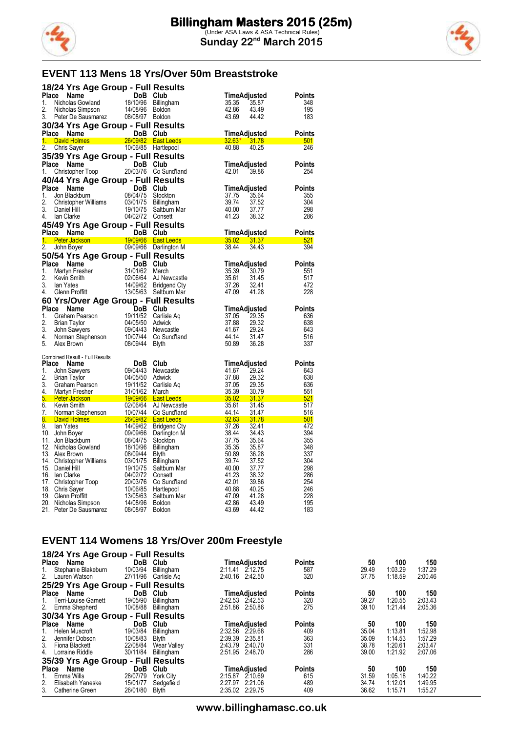



# **EVENT 113 Mens 18 Yrs/Over 50m Breaststroke**

|                  | 18/24 Yrs Age Group - Full Results                                                                                                                                                                                                   |                      |                                                                                                                                     |                |                |               |
|------------------|--------------------------------------------------------------------------------------------------------------------------------------------------------------------------------------------------------------------------------------|----------------------|-------------------------------------------------------------------------------------------------------------------------------------|----------------|----------------|---------------|
| Place            | Name                                                                                                                                                                                                                                 | DoB Club             |                                                                                                                                     |                | TimeAdjusted   | Points        |
| 1.               | Nicholas Gowland                                                                                                                                                                                                                     | 18/10/96             | Billingham                                                                                                                          | 35.35          | 35.87          | 348           |
| 2.               | Nicholas Simpson                                                                                                                                                                                                                     | 14/08/96 Boldon      |                                                                                                                                     | 42.86          | 43.49          | 195           |
| 3.               | Peter De Sausmarez 08/08/97 Boldon                                                                                                                                                                                                   |                      |                                                                                                                                     | 43.69          | 44.42          | 183           |
|                  | 30/34 Yrs Age Group - Full Results                                                                                                                                                                                                   |                      |                                                                                                                                     |                |                |               |
|                  | Place Name                                                                                                                                                                                                                           | DoB Club             |                                                                                                                                     |                | TimeAdjusted   | Points        |
|                  | 1. David Holmes <b>Communist Communist Communist Communist Communist Communist Communist Communist Communist Communist Communist Communist Communist Communist Communist Communist Communist Communist Communist Communist Commu</b> |                      | 26/09/82 East Leeds                                                                                                                 |                | $32.63*$ 31.78 | 501           |
| 2.               | Chris Sayer                                                                                                                                                                                                                          |                      | 10/06/85 Hartlepool                                                                                                                 | 40.88          | 40.25          | 246           |
|                  | 35/39 Yrs Age Group - Full Results                                                                                                                                                                                                   |                      |                                                                                                                                     |                |                |               |
|                  | Place Name                                                                                                                                                                                                                           | DoB Club             |                                                                                                                                     |                | TimeAdjusted   | <b>Points</b> |
| 1.               | Christopher Toop                                                                                                                                                                                                                     |                      | 20/03/76 Co Sund'land                                                                                                               | 42.01          | 39.86          | 254           |
|                  | 40/44 Yrs Age Group - Full Results                                                                                                                                                                                                   |                      |                                                                                                                                     |                |                |               |
|                  | Place Name                                                                                                                                                                                                                           | DoB Club             |                                                                                                                                     |                | TimeAdjusted   | <b>Points</b> |
| 1.               | Jon Blackburn                                                                                                                                                                                                                        | 08/04/75             | Stockton                                                                                                                            | 37.75          | 35.64          | 355           |
| 2.               | Christopher Williams                                                                                                                                                                                                                 | 03/01/75             | Billingham                                                                                                                          | 39.74          | 37.52          | 304           |
| 3.               | Daniel Hill                                                                                                                                                                                                                          | 19/10/75             | Saltburn Mar                                                                                                                        | 40.00          | 37.77          | 298           |
| 4.               | Ian Clarke                                                                                                                                                                                                                           | 04/02/72 Consett     |                                                                                                                                     | 41.23          | 38.32          | 286           |
|                  | 45/49 Yrs Age Group - Full Results                                                                                                                                                                                                   |                      |                                                                                                                                     |                |                |               |
| Place            | Name                                                                                                                                                                                                                                 | DoB                  | Club                                                                                                                                |                | TimeAdjusted   | Points        |
| $1 -$            | Peter Jackson                                                                                                                                                                                                                        |                      | 19/09/66 East Leeds                                                                                                                 |                | 35.02 31.37    | 521           |
| $\overline{2}$ . | John Boyer                                                                                                                                                                                                                           |                      | 09/09/66 Darlington M                                                                                                               | 38.44          | 34.43          | 394           |
|                  | 50/54 Yrs Age Group - Full Results                                                                                                                                                                                                   |                      |                                                                                                                                     |                |                |               |
|                  | Place Name                                                                                                                                                                                                                           | DoB Club             |                                                                                                                                     |                | TimeAdjusted   | Points        |
| 1.               | Martyn Fresher                                                                                                                                                                                                                       | 31/01/62             | March                                                                                                                               | 35.39          | 30.79          | 551           |
| 2.<br>3.         | Kevin Smith<br>lan Yates                                                                                                                                                                                                             | 02/06/64<br>14/09/62 | AJ Newcastle<br>Bridgend Cty                                                                                                        | 35.61<br>37.26 | 31.45<br>32.41 | 517<br>472    |
| 4.               | Glenn Proffitt                                                                                                                                                                                                                       |                      | 13/05/63 Saltburn Mar                                                                                                               | 47.09          | 41.28          | 228           |
|                  | 60 Yrs/Over Age Group - Full Results                                                                                                                                                                                                 |                      |                                                                                                                                     |                |                |               |
| Place            |                                                                                                                                                                                                                                      |                      |                                                                                                                                     |                |                |               |
|                  |                                                                                                                                                                                                                                      |                      |                                                                                                                                     |                |                |               |
|                  | <b>Name</b>                                                                                                                                                                                                                          | DoB Club             |                                                                                                                                     | TimeAdjusted   |                | <b>Points</b> |
| 1.               | Graham Pearson                                                                                                                                                                                                                       | 19/11/52             | Carlisle Aq                                                                                                                         | 37.05          | 29.35          | 636           |
| 2.<br>3.         | <b>Brian Taylor</b><br>John Sawyers                                                                                                                                                                                                  | 04/05/50<br>09/04/43 | Adwick<br>Newcastle                                                                                                                 | 37.88<br>41.67 | 29.32<br>29.24 | 638<br>643    |
| 4.               | Norman Stephenson                                                                                                                                                                                                                    | 10/07/44             | Co Sund'land                                                                                                                        | 44.14          | 31.47          | 516           |
| 5.               | Alex Brown                                                                                                                                                                                                                           | 08/09/44             | <b>Blyth</b>                                                                                                                        | 50.89          | 36.28          | 337           |
|                  |                                                                                                                                                                                                                                      |                      |                                                                                                                                     |                |                |               |
|                  | Combined Result - Full Results                                                                                                                                                                                                       |                      |                                                                                                                                     |                |                |               |
| Place            | Name                                                                                                                                                                                                                                 | DoB Club             |                                                                                                                                     |                | TimeAdjusted   | <b>Points</b> |
| 1.<br>2.         | John Sawyers<br><b>Brian Taylor</b>                                                                                                                                                                                                  | 09/04/43<br>04/05/50 | Newcastle                                                                                                                           | 41.67          | 29.24<br>29.32 | 643<br>638    |
| 3.               | Graham Pearson                                                                                                                                                                                                                       | 19/11/52             | Adwick<br>Carlisle Aq                                                                                                               | 37.88<br>37.05 | 29.35          | 636           |
| 4.               | Martyn Fresher                                                                                                                                                                                                                       | 31/01/62             | March                                                                                                                               | 35.39          | 30.79          | 551           |
| 5.               | Peter Jackson 19/09/66                                                                                                                                                                                                               |                      | <b>East Leeds</b><br>and the state of the state of the state of the state of the state of the state of the state of the state of th | 35.02          | 31.37          | 521           |
| 6.               | Kevin Smith                                                                                                                                                                                                                          | 02/06/64             | AJ Newcastle                                                                                                                        | 35.61          | 31.45          | 517           |
| 7.               | Norman Stephenson                                                                                                                                                                                                                    | 10/07/44             | Co Sund'land                                                                                                                        | 44.14          | 31.47          | 516           |
| 8.               | David Holmes <b>Container the Contact Container</b>                                                                                                                                                                                  | 26/09/82             | <b>East Leeds</b>                                                                                                                   | 32.63          | <b>31.78</b>   | 501           |
| 9.               | lan Yates                                                                                                                                                                                                                            | 14/09/62             | <b>Bridgend Cty</b>                                                                                                                 | 37.26          | 32.41          | 472           |
|                  | 10. John Boyer<br>11. Jon Blackburn                                                                                                                                                                                                  | 09/09/66<br>08/04/75 | Darlington M<br>Stockton                                                                                                            | 38.44<br>37.75 | 34.43<br>35.64 | 394<br>355    |
|                  | 12. Nicholas Gowland                                                                                                                                                                                                                 | 18/10/96             | Billingham                                                                                                                          | 35.35          | 35.87          | 348           |
|                  | 13. Alex Brown                                                                                                                                                                                                                       | 08/09/44             | Blyth                                                                                                                               | 50.89          | 36.28          | 337           |
|                  | 14. Christopher Williams                                                                                                                                                                                                             | 03/01/75             | <b>Billingham</b>                                                                                                                   | 39.74          | 37.52          | 304           |
|                  | 15. Daniel Hill                                                                                                                                                                                                                      | 19/10/75             | Saltburn Mar                                                                                                                        | 40.00          | 37.77          | 298           |
|                  | 16. Ian Clarke                                                                                                                                                                                                                       | 04/02/72             | Consett                                                                                                                             | 41.23          | 38.32          | 286           |
|                  | 17. Christopher Toop                                                                                                                                                                                                                 | 20/03/76             | Co Sund'land                                                                                                                        | 42.01          | 39.86          | 254           |
|                  | 18. Chris Sayer<br>19. Glenn Proffitt                                                                                                                                                                                                | 10/06/85<br>13/05/63 | Hartlepool                                                                                                                          | 40.88<br>47.09 | 40.25<br>41.28 | 246<br>228    |
|                  | 20. Nicholas Simpson<br>Peter De Sausmarez                                                                                                                                                                                           | 14/08/96             | Saltburn Mar<br><b>Boldon</b>                                                                                                       | 42.86          | 43.49          | 195           |

### **EVENT 114 Womens 18 Yrs/Over 200m Freestyle**

| 18/24 Yrs Age Group - Full Results |            |                   |                 |              |               |       |         |         |
|------------------------------------|------------|-------------------|-----------------|--------------|---------------|-------|---------|---------|
| Place<br>Name                      | DoB        | Club              |                 | TimeAdjusted | <b>Points</b> | 50    | 100     | 150     |
| Stephanie Blakeburn<br>1.          | 10/03/94   | Billingham        | 2:11.41 2:12.75 |              | 587           | 29.49 | 1:03.29 | 1:37.29 |
| 2. Lauren Watson                   | 27/11/96   | Carlisle Ag       | 2:40.16 2:42.50 |              | 320           | 37.75 | 1:18.59 | 2:00.46 |
| 25/29 Yrs Age Group - Full Results |            |                   |                 |              |               |       |         |         |
| Place<br>Name                      | <b>DoB</b> | Club              |                 | TimeAdjusted | <b>Points</b> | 50    | 100     | 150     |
| <b>Terri-Louise Garnett</b><br>1.  | 19/05/90   | <b>Billingham</b> | 2.42.53 2.42.53 |              | 320           | 39.27 | 1.20.55 | 2:03.43 |
| 2. Emma Shepherd                   | 10/08/88   | Billingham        | 2:51.86 2:50.86 |              | 275           | 39.10 | 1.21.44 | 2:05.36 |
| 30/34 Yrs Age Group - Full Results |            |                   |                 |              |               |       |         |         |
| Name<br>Place                      | <b>DoB</b> | Club              |                 | TimeAdjusted | <b>Points</b> | 50    | 100     | 150     |
| Helen Muscroft<br>1.               | 19/03/84   | <b>Billingham</b> | 2:32.56 2:29.68 |              | 409           | 35.04 | 1:13.81 | 1:52.98 |
| 2.<br>Jennifer Dobson              | 10/08/83   | <b>Blyth</b>      | 2:39.39         | 2:35.81      | 363           | 35.09 | 1:14.53 | 1:57.29 |
| 3. Fiona Blackett                  | 22/08/84   | Wear Valley       | 2:43.79         | 2:40.70      | 331           | 38.78 | 1:20.61 | 2:03.47 |
| Lorraine Riddle<br>4.              | 30/11/84   | Billingham        | 2:51.95 2:48.70 |              | 286           | 39.00 | 1.21.92 | 2:07.06 |
| 35/39 Yrs Age Group - Full Results |            |                   |                 |              |               |       |         |         |
| Place<br>Name                      | <b>DoB</b> | Club              |                 | TimeAdiusted | <b>Points</b> | 50    | 100     | 150     |
| Emma Wills<br>1.                   | 28/07/79   | York City         | 2:15.87 2:10.69 |              | 615           | 31.59 | 1.05.18 | 1:40.22 |
| 2.<br>Elisabeth Yaneske            | 15/01/77   | Sedgefield        | 2:27.97         | 2:21.06      | 489           | 34.74 | 1:12.01 | 1:49.95 |
| 3. Catherine Green                 | 26/01/80   | <b>Blyth</b>      | 2:35.02 2:29.75 |              | 409           | 36.62 | 1:15.71 | 1:55.27 |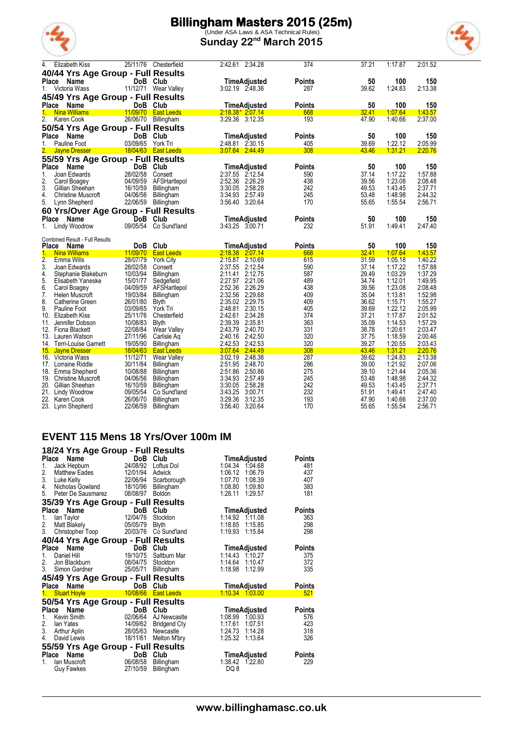

(Under ASA Laws & ASA Technical Rules) **Sunday 22nd March 2015**



| 4.           | <b>Elizabeth Kiss</b>                         | 25/11/76             | Chesterfield                          | 2:42.61 2:34.28                                     | 374                  | 37.21          | 1:17.87            | 2:01.52            |
|--------------|-----------------------------------------------|----------------------|---------------------------------------|-----------------------------------------------------|----------------------|----------------|--------------------|--------------------|
|              | 40/44 Yrs Age Group - Full Results            |                      |                                       |                                                     |                      |                |                    |                    |
| Place        | <b>Name</b>                                   |                      | DoB Club                              | TimeAdjusted                                        | <b>Points</b>        | 50             | 100                | 150                |
| $1_{-}$      | Victoria Wass                                 |                      | 11/12/71 Wear Valley                  | 3:02.19 2:48.36                                     | 287                  | 39.62          | 1:24.83            | 2:13.38            |
|              | 45/49 Yrs Age Group - Full Results            |                      |                                       |                                                     |                      |                |                    |                    |
| <b>Place</b> | Name                                          |                      | DoB Club                              | TimeAdjusted                                        | <b>Points</b>        | 50             | 100                | 150                |
|              | 1. Nina Williams                              |                      | 11/09/70 East Leeds                   | $2.18.38*2.07.14$                                   | 668                  | 32.41          | 1.07.64            | 1.43.57            |
| 2.           | Karen Cook                                    |                      | 26/06/70 Billingham                   | 3:29.36 3:12.35                                     | 193                  | 47.90          | 1:40.66            | 2:37.00            |
|              | 50/54 Yrs Age Group - Full Results            |                      |                                       |                                                     |                      |                |                    |                    |
| Place        | Name                                          |                      | DoB Club                              | TimeAdjusted                                        | <b>Points</b>        | 50             | 100                | 150                |
|              | Pauline Foot                                  | 03/09/65             | York Tri                              | 2:48.81 2:30.15                                     | 405                  | 39.69          | 1:22.12            | 2:05.99            |
|              | <b>Jayne Dresser</b>                          |                      | 18/04/63 East Leeds                   | $3:07.64$ 2.44.49                                   | 308                  | 43.46          | 1:31.21            | 2:20.76            |
|              | 55/59 Yrs Age Group - Full Results            |                      |                                       |                                                     |                      |                |                    |                    |
| Place        | Name                                          |                      | DoB Club                              | TimeAdjusted                                        | <b>Points</b>        | 50             | 100                | 150                |
| 1.           | Joan Edwards                                  | 28/02/58             | Consett                               | 2:37.55 2:12.54                                     | 590                  | 37.14          | 1:17.22            | 1:57.88            |
| 2.           | Carol Boagey                                  | 04/09/59             | AFSHartlepol                          | 2:52.36<br>2:26.29                                  | 438                  | 39.56          | 1:23.08            | 2:08.48            |
| 3.           | Gillian Sheehan                               | 16/10/59             | Billingham                            | 3:30.05<br>2:58.28                                  | 242                  | 49.53          | 1:43.45            | 2:37.71            |
| 4.           | <b>Christine Muscroft</b>                     | 04/06/56             | Billingham                            | 3 34 93<br>2:57.49                                  | 245                  | 53.48          | 1.48.98            | 2:44.32            |
| 5.           | Lynn Shepherd                                 | 22/06/59             | Billingham                            | 3.56.40<br>3:20.64                                  | 170                  | 55.65          | 1:55.54            | 2:56.71            |
|              | 60 Yrs/Over Age Group - Full Results          |                      |                                       |                                                     |                      |                |                    |                    |
| Place        | Name                                          |                      | DoB Club                              | <b>TimeAdjusted</b>                                 | <b>Points</b>        | 50             | 100                | 150                |
| 1.           | <b>Lindy Woodrow</b>                          | 09/05/54             | Co Sund'land                          | 3:43.25 3:00.71                                     | 232                  | 51.91          | 1:49.41            | 2:47.40            |
|              |                                               |                      |                                       |                                                     |                      |                |                    |                    |
|              | <b>Combined Result - Full Results</b>         |                      |                                       |                                                     |                      |                |                    |                    |
| Place        | <b>Name</b>                                   | 11/09/70             | DoB Club                              | <b>TimeAdjusted</b>                                 | <b>Points</b><br>668 | 50<br>32.41    | 100<br>1.07.64     | 150<br>1:43.57     |
| 1.<br>2.     | <b>Nina Williams</b><br>Emma Wills            | 28/07/79             | <b>East Leeds</b><br><b>York City</b> | 2:18.38 2:07.14<br>2:15.87 2:10.69                  | 615                  | 31.59          | 1:05.18            | 1:40.22            |
| 3.           | Joan Edwards                                  | 28/02/58             | Consett                               | 2:37.55 2:12.54                                     | 590                  | 37.14          | 1:17.22            | 1:57.88            |
| 4.           | Stephanie Blakeburn                           | 10/03/94             | Billingham                            | 2:12.75<br>2:11.41                                  | 587                  | 29.49          | 1:03.29            | 1:37.29            |
| 5.           | Elisabeth Yaneske                             | 15/01/77             | Sedgefield                            |                                                     |                      |                |                    | 1:49.95            |
| 6.           | Carol Boagey                                  |                      |                                       |                                                     |                      |                |                    |                    |
| 7.           |                                               |                      |                                       | 2:27.97<br>2:21.06<br>2:52.36<br>2:26.29            | 489<br>438           | 34.74          | 1:12.01<br>1:23.08 | 2:08.48            |
|              | Helen Muscroft                                | 04/09/59<br>19/03/84 | AFSHartlepol<br><b>Billingham</b>     | 2:32.56<br>2:29.68                                  | 409                  | 39.56<br>35.04 | 1:13.81            | 1:52.98            |
| 8.           | Catherine Green                               | 26/01/80             | Blyth                                 | 2:35.02<br>2:29.75                                  | 409                  | 36.62          | 1:15.71            | 1:55.27            |
| 9.           | Pauline Foot                                  | 03/09/65             | York Tri                              | 2:48.81 2:30.15                                     | 405                  | 39.69          | 1:22.12            | 2:05.99            |
| 10.          | Elizabeth Kiss                                | 25/11/76             | Chesterfield                          | 2:42.61<br>2:34.28                                  | 374                  | 37.21          | 1:17.87            | 2:01.52            |
| 11.          | Jennifer Dobson                               | 10/08/83             | <b>Blyth</b>                          | 2:39.39<br>2:35.81                                  | 363                  | 35.09          | 1:14.53            | 1:57.29            |
| 12.          | Fiona Blackett                                | 22/08/84             | Wear Valley                           | 2:43.79<br>2:40.70                                  | 331                  | 38.78          | 1:20.61            | 2:03.47            |
|              | 13. Lauren Watson                             | 27/11/96             | Carlisle Aq                           | 2:40.16<br>2:42.50                                  | 320                  | 37.75          | 1:18.59            | 2:00.46            |
|              | 14. Terri-Louise Garnett                      | 19/05/90             | <b>Billingham</b>                     | 2:42.53<br>2.42.53                                  | 320                  | 39.27          | 1:20.55            | 2:03.43            |
| 15.          | <b>Jayne Dresser</b>                          | 18/04/63             | <b>East Leeds</b>                     | 3:07.64 2:44.49                                     | 308                  | 43.46          | 1.31.21            | 2:20.76            |
| 16.          | Victoria Wass                                 | 11/12/71             | Wear Valley                           | 3.02.19<br>2:48.36                                  | 287                  | 39.62          | 1:24.83            | 2:13.38            |
|              | 17. Lorraine Riddle                           | 30/11/84             | Billingham                            | 2:51.95<br>2:48.70                                  | 286                  | 39.00          | 1.21.92            | 2:07.06            |
|              | 18. Emma Shepherd                             | 10/08/88             | Billingham                            | 2:51.86<br>2:50.86<br>2:57.49                       | 275                  | 39.10          | 1:21.44            | 2:05.36            |
|              | 19. Christine Muscroft<br>20. Gillian Sheehan | 04/06/56<br>16/10/59 | Billingham<br><b>Billingham</b>       | 3 34 93<br>2:58.28<br>3:30.05                       | 245<br>242           | 53.48<br>49.53 | 1:48.98<br>1.43.45 | 2:44.32<br>2:37.71 |
| 21.          | Lindy Woodrow                                 | 09/05/54             | Co Sund'land                          | 3:00.71                                             | 232                  | 51.91          | 1.49.41            | 2:47.40            |
| 22.          | Karen Cook                                    | 26/06/70<br>22/06/59 | Billingham<br>Billingham              | 3:43.25<br>3:29.36<br>3:12.35<br>3:56.40<br>3:20.64 | 193<br>170           | 47.90<br>55.65 | 1:40.66<br>1:55.54 | 2:37.00<br>2:56.71 |

#### **EVENT 115 Mens 18 Yrs/Over 100m IM**

| 18/24 Yrs Age Group - Full Results |            |                     |                    |               |
|------------------------------------|------------|---------------------|--------------------|---------------|
| Place<br><b>Name</b>               | DoB        | Club                | TimeAdjusted       | <b>Points</b> |
| 1.<br>Jack Hepburn                 | 24/08/92   | Loftus Dol          | 1.04.34<br>1:04.68 | 481           |
| 2.<br><b>Matthew Eades</b>         | 12/01/94   | Adwick              | 1:06.12<br>1:06.79 | 437           |
| 3.<br>Luke Kelly                   | 22/06/94   | Scarborough         | 1:07.70<br>1:08.39 | 407           |
| 4.<br>Nicholas Gowland             | 18/10/96   | Billingham          | 1:08.80<br>1:09.80 | 383           |
| Peter De Sausmarez<br>5.           | 08/08/97   | Boldon              | 1.28.11<br>1.29.57 | 181           |
| 35/39 Yrs Age Group - Full Results |            |                     |                    |               |
| <b>Name</b><br>Place               | DoB        | Club                | TimeAdjusted       | Points        |
| lan Tavlor<br>1.                   | 12/04/76   | Stockton            | 1:14.92<br>1.11.08 | 363           |
| 2.<br>Matt Blakely                 | 05/05/79   | <b>Blyth</b>        | 1:18.85<br>1:15.85 | 298           |
| 3.<br>Christopher Toop             | 20/03/76   | Co Sund'land        | 1:19.93<br>1:15.84 | 298           |
| 40/44 Yrs Age Group - Full Results |            |                     |                    |               |
| Name<br>Place                      | DoB        | Club                | TimeAdjusted       | Points        |
| Daniel Hill<br>1.                  | 19/10/75   | Saltburn Mar        | 1:14.43<br>1:10.27 | 375           |
| 2.<br>Jon Blackburn                | 08/04/75   | Stockton            | 1.14.64<br>1:10.47 | 372           |
| 3.<br>Simon Gardner                | 25/05/71   | Billingham          | 1:18.98<br>1:12.99 | 335           |
| 45/49 Yrs Age Group - Full Results |            |                     |                    |               |
| Place<br><b>Name</b>               | <b>DoB</b> | Club                | TimeAdjusted       | Points        |
| <b>Stuart Hoyle</b><br>1.          | 10/08/66   | <b>East Leeds</b>   | 1:10.34 1.03.00    | 521           |
| 50/54 Yrs Age Group - Full Results |            |                     |                    |               |
| Name<br>Place                      | DoB        | Club                | TimeAdjusted       | <b>Points</b> |
| Kevin Smith<br>1.                  | 02/06/64   | AJ Newcastle        | 1:08.99<br>1:00.93 | 576           |
| 2.<br>lan Yates                    | 14/09/62   | <b>Bridgend Cty</b> | 1.17.61<br>1.07.51 | 423           |
| 3.<br>Arthur Aplin                 | 28/05/63   | Newcastle           | 1.24.73<br>1:14.28 | 318           |
| David Lewis<br>4.                  | 18/11/61   | Melton M'bry        | 1:25.32<br>1:13.64 | 326           |
| 55/59 Yrs Age Group - Full Results |            |                     |                    |               |
| Place<br>Name                      | <b>DoB</b> | Club                | TimeAdjusted       | <b>Points</b> |
| lan Muscroft<br>1                  | 06/08/58   | Billingham          | 1:38.42 1.22.80    | 229           |
| <b>Guy Fawkes</b>                  | 27/10/59   | Billingham          | DQ 8               |               |
|                                    |            |                     |                    |               |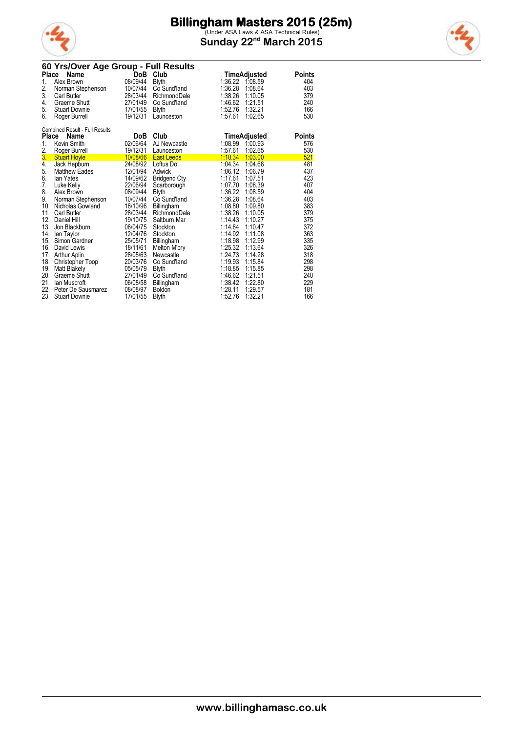

(Under ASA Laws & ASA Technical Rules) **Sunday 22nd March 2015**



|              | 60 Yrs/Over Age Group - Full Results  |          |                     |                    |               |
|--------------|---------------------------------------|----------|---------------------|--------------------|---------------|
|              | Place<br>Name                         |          | DoB Club            | TimeAdjusted       | <b>Points</b> |
| 1.           | Alex Brown                            | 08/09/44 | Blyth               | 1:36.22 1:08.59    | 404           |
| 2.           | Norman Stephenson                     | 10/07/44 | Co Sund'land        | 1:36.28<br>1:08.64 | 403           |
| 3.           | <b>Carl Butler</b>                    | 28/03/44 | RichmondDale        | 1:38.26<br>1:10.05 | 379           |
| 4.           | Graeme Shutt                          | 27/01/49 | Co Sund'land        | 1.46.62<br>1:21.51 | 240           |
| 5.           | <b>Stuart Downie</b>                  | 17/01/55 | <b>Blyth</b>        | 1:52.76<br>1:32.21 | 166           |
| 6.           | Roger Burrell                         | 19/12/31 | Launceston          | 1:57.61<br>1:02.65 | 530           |
|              | <b>Combined Result - Full Results</b> |          |                     |                    |               |
| <b>Place</b> | <b>Name</b>                           | DoB      | Club                | TimeAdjusted       | Points        |
| 1.           | Kevin Smith                           | 02/06/64 | AJ Newcastle        | 1:08.99<br>1:00.93 | 576           |
| 2.           | Roger Burrell                         | 19/12/31 | Launceston          | 1:57.61<br>1:02.65 | 530           |
| 3.           | <b>Stuart Hoyle</b>                   | 10/08/66 | <b>East Leeds</b>   | 1:10.34<br>1:03.00 | 521           |
| 4.           | Jack Hepburn                          | 24/08/92 | Loftus Dol          | 1:04.34<br>1:04.68 | 481           |
| 5.           | <b>Matthew Eades</b>                  | 12/01/94 | Adwick              | 1:06.12<br>1:06.79 | 437           |
| 6.           | lan Yates                             | 14/09/62 | <b>Bridgend Cty</b> | 1:17.61<br>1:07.51 | 423           |
| 7.           | Luke Kelly                            | 22/06/94 | Scarborough         | 1:08.39<br>1:07.70 | 407           |
| 8.           | Alex Brown                            | 08/09/44 | <b>Blyth</b>        | 1:36.22<br>1:08.59 | 404           |
| 9.           | Norman Stephenson                     | 10/07/44 | Co Sund'land        | 1:36.28<br>1:08.64 | 403           |
| 10.          | Nicholas Gowland                      | 18/10/96 | Billingham          | 1:08.80<br>1:09.80 | 383           |
| 11.          | <b>Carl Butler</b>                    | 28/03/44 | RichmondDale        | 1:38.26<br>1:10.05 | 379           |
| 12.          | Daniel Hill                           | 19/10/75 | Saltburn Mar        | 1:14.43<br>1:10.27 | 375           |
| 13.          | Jon Blackburn                         | 08/04/75 | Stockton            | 1:14.64<br>1:10.47 | 372           |
| 14.          | lan Taylor                            | 12/04/76 | Stockton            | 1:14.92<br>1:11.08 | 363           |
| 15.          | Simon Gardner                         | 25/05/71 | Billingham          | 1:18.98<br>1:12.99 | 335           |
| 16.          | David Lewis                           | 18/11/61 | Melton M'bry        | 1:25.32<br>1:13.64 | 326           |
| 17.          | <b>Arthur Aplin</b>                   | 28/05/63 | Newcastle           | 1:24.73<br>1:14.28 | 318           |
| 18.          | Christopher Toop                      | 20/03/76 | Co Sund'land        | 1:19.93<br>1:15.84 | 298           |
| 19.          | <b>Matt Blakely</b>                   | 05/05/79 | <b>Blyth</b>        | 1:18.85<br>1:15.85 | 298           |
| 20.          | Graeme Shutt                          | 27/01/49 | Co Sund'land        | 1:46.62<br>1:21.51 | 240           |
| 21.          | lan Muscroft                          | 06/08/58 | Billingham          | 1:38.42<br>1:22.80 | 229           |
| 22.          | Peter De Sausmarez                    | 08/08/97 | Boldon              | 1:28.11<br>1:29.57 | 181           |
| 23.          | <b>Stuart Downie</b>                  | 17/01/55 | Blyth               | 1:52.76<br>1:32.21 | 166           |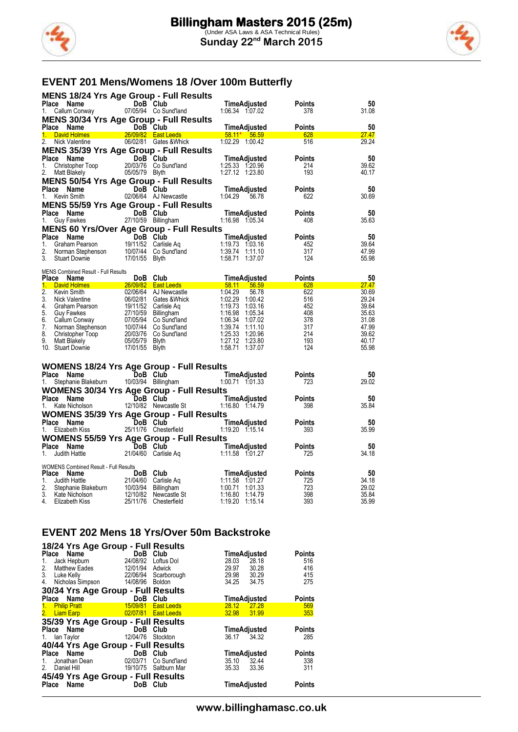



#### **EVENT 201 Mens/Womens 18 /Over 100m Butterfly**

|    | <b>MENS 18/24 Yrs Age Group - Full Results</b>                                                                                             |                         |                                          |                                                                                                                                                                                                                                                  |               |                |
|----|--------------------------------------------------------------------------------------------------------------------------------------------|-------------------------|------------------------------------------|--------------------------------------------------------------------------------------------------------------------------------------------------------------------------------------------------------------------------------------------------|---------------|----------------|
|    | Place Name                                                                                                                                 | DoB Club                | <b>DoB Club</b><br>07/05/94 Co Sund'land | TimeAdjusted                                                                                                                                                                                                                                     | <b>Points</b> | 50             |
| 1. | Callum Conway                                                                                                                              |                         |                                          | 1:06.34 1:07.02                                                                                                                                                                                                                                  | 378           | 31.08          |
|    | <b>MENS 30/34 Yrs Age Group - Full Results</b>                                                                                             |                         |                                          |                                                                                                                                                                                                                                                  |               |                |
|    | Place Name                                                                                                                                 |                         |                                          | <b>DoB Club</b><br><b>DoB Club</b><br><b>COMPACT DOB Club</b><br><b>COMPACT DOB CLUB</b><br><b>COMPACT DOMES ADDITION:</b> 1.00.42<br><b>COMPACT DOMES ADDITION:</b> 1.00.42                                                                     | <b>Points</b> | 50             |
| 1. | David Holmes                                                                                                                               |                         | 26/09/82 East Leeds                      |                                                                                                                                                                                                                                                  | 628           | 27.47          |
| 2. | Nick Valentine                                                                                                                             |                         |                                          |                                                                                                                                                                                                                                                  | 516           | 29.24          |
|    | <b>MENS 35/39 Yrs Age Group - Full Results</b>                                                                                             |                         |                                          |                                                                                                                                                                                                                                                  |               |                |
| 1. | Place Name<br><b>ce Name</b><br>Christopher Toop 2<br>Mott Plakely                                                                         | DoB Club                |                                          | TimeAdjusted<br>1:25.33 1:20.96                                                                                                                                                                                                                  | Points<br>214 | 50<br>39.62    |
| 2. | <b>Matt Blakely</b>                                                                                                                        | 05/05/79 Blyth          | 2003/76 Co Sund'land<br>05/05/79 Blyth   | 1:27.12 1:23.80                                                                                                                                                                                                                                  | 193           | 40.17          |
|    | <b>MENS 50/54 Yrs Age Group - Full Results</b>                                                                                             |                         |                                          |                                                                                                                                                                                                                                                  |               |                |
|    |                                                                                                                                            | DoB Club                |                                          | TimeAdjusted                                                                                                                                                                                                                                     | <b>Points</b> | 50             |
|    | <b>Place Name</b><br>1. Kevin Smith                                                                                                        |                         | 02/06/64 AJ Newcastle                    | 1.04.29<br>56.78                                                                                                                                                                                                                                 | 622           | 30.69          |
|    | <b>MENS 55/59 Yrs Age Group - Full Results</b>                                                                                             |                         |                                          |                                                                                                                                                                                                                                                  |               |                |
|    | Place Name                                                                                                                                 |                         |                                          | TimeAdjusted                                                                                                                                                                                                                                     | Points        | 50             |
| 1. | Guy Fawkes                                                                                                                                 |                         | DOB CIUD<br>27/10/59 Billingham          | 1:16.98  1:05.34                                                                                                                                                                                                                                 | 408           | 35.63          |
|    | <b>MENS 60 Yrs/Over Age Group - Full Results</b>                                                                                           |                         |                                          |                                                                                                                                                                                                                                                  |               |                |
|    | Place Name                                                                                                                                 |                         |                                          | Comment of the Club<br>Comment of the Club<br>Comment of the Craham Pearson<br>Norman Stephenson<br>19/11/52 Carlisle Aq<br>11/19/3 1:03.16<br>11/11/10<br>Stuart Downie 17/01/55 Blyth<br>11/11/15 1:58.71<br>11/11/10                          | <b>Points</b> | 50             |
| 1. |                                                                                                                                            |                         |                                          |                                                                                                                                                                                                                                                  | 452           | 39.64          |
| 2. |                                                                                                                                            |                         |                                          |                                                                                                                                                                                                                                                  | 317           | 47.99          |
| 3. |                                                                                                                                            |                         |                                          |                                                                                                                                                                                                                                                  | 124           | 55.98          |
|    |                                                                                                                                            |                         |                                          |                                                                                                                                                                                                                                                  |               |                |
|    |                                                                                                                                            |                         |                                          |                                                                                                                                                                                                                                                  | <b>Points</b> | 50             |
|    |                                                                                                                                            |                         |                                          |                                                                                                                                                                                                                                                  | 628           | 27.47          |
|    |                                                                                                                                            |                         |                                          |                                                                                                                                                                                                                                                  | 622           | 30.69          |
|    |                                                                                                                                            |                         |                                          |                                                                                                                                                                                                                                                  | 516<br>452    | 29.24<br>39.64 |
|    |                                                                                                                                            |                         |                                          |                                                                                                                                                                                                                                                  | 408           | 35.63          |
|    |                                                                                                                                            |                         |                                          |                                                                                                                                                                                                                                                  | 378           | 31.08          |
|    |                                                                                                                                            |                         |                                          |                                                                                                                                                                                                                                                  | 317           | 47.99          |
|    |                                                                                                                                            |                         |                                          |                                                                                                                                                                                                                                                  | 214           | 39.62          |
|    |                                                                                                                                            |                         |                                          |                                                                                                                                                                                                                                                  | 193           | 40.17          |
|    |                                                                                                                                            |                         |                                          | <b>Prace Name 26/09/82 Club TimeAdjusted</b><br><b>1.</b> David Holmes 26/09/82 East Leeds 58.11 56.59<br>2. Kevin Smith 02/06/64 AJ Newcastle 1:04.29 56.78<br>2. Nick Valentine 06/02/81 Gates &Whick 1:02.29 1:00.42<br>4. Graham Pearson 19/ | 124           | 55.98          |
|    |                                                                                                                                            |                         |                                          |                                                                                                                                                                                                                                                  |               |                |
|    | <b>WOMENS 18/24 Yrs Age Group - Full Results</b>                                                                                           |                         |                                          |                                                                                                                                                                                                                                                  |               |                |
|    | Place Name                                                                                                                                 | DoB Club                |                                          | TimeAdjusted                                                                                                                                                                                                                                     | <b>Points</b> | 50             |
| 1. | Stephanie Blakeburn 10/03/94 Billingham                                                                                                    |                         |                                          | 1:00.71 1:01.33                                                                                                                                                                                                                                  | 723           | 29.02          |
|    | <b>WOMENS 30/34 Yrs Age Group - Full Results</b>                                                                                           |                         |                                          |                                                                                                                                                                                                                                                  |               |                |
|    | Place Name                                                                                                                                 | DoB Club                | DoB Club<br>12/10/82 Newcastle St        | TimeAdjusted                                                                                                                                                                                                                                     | Points        | 50             |
|    | 1. Kate Nicholson                                                                                                                          |                         |                                          |                                                                                                                                                                                                                                                  | 398           | 35.84          |
|    | <b>WOMENS 35/39 Yrs Age Group - Full Results</b>                                                                                           |                         |                                          |                                                                                                                                                                                                                                                  |               |                |
|    | Place Name                                                                                                                                 |                         |                                          | DoB Club TimeAdjusted<br>25/11/76 Chesterfield 1:19.20 1:15.14                                                                                                                                                                                   | <b>Points</b> | 50             |
| 1. | Elizabeth Kiss                                                                                                                             |                         |                                          |                                                                                                                                                                                                                                                  | 393           | 35.99          |
|    | <b>WOMENS 55/59 Yrs Age Group - Full Results<br/>Place Name DoB Club T<br/>1. Judith Hattle 21/04/60 Carlisle Aq 1:1</b>                   |                         |                                          |                                                                                                                                                                                                                                                  |               |                |
|    |                                                                                                                                            |                         |                                          |                                                                                                                                                                                                                                                  | <b>Points</b> | 50<br>34.18    |
|    |                                                                                                                                            |                         |                                          |                                                                                                                                                                                                                                                  | 725           |                |
|    | <b>WOMENS Combined Result - Full Results</b>                                                                                               |                         |                                          |                                                                                                                                                                                                                                                  |               |                |
|    | Place Name                                                                                                                                 | <b>Example DoB</b> Club |                                          | TimeAdjusted                                                                                                                                                                                                                                     | <b>Points</b> | 50             |
| 1. |                                                                                                                                            |                         |                                          | 1:11.58 1:01.27                                                                                                                                                                                                                                  | 725           | 34.18          |
| 2. | Judith Hattle 21/04/60 Carlisle Aq<br>Stephanie Blakeburn 10/03/94 Billingham<br>Kate Nicholson 12/10/82 Newcastle St<br>3. Kate Nicholson |                         |                                          | 1:00.71 1:01.33                                                                                                                                                                                                                                  | 723<br>398    | 29.02<br>35.84 |
| 4. | Elizabeth Kiss                                                                                                                             |                         | 25/11/76 Chesterfield                    | 1:19.20 1:15.14                                                                                                                                                                                                                                  | 393           | 35.99          |
|    |                                                                                                                                            |                         |                                          |                                                                                                                                                                                                                                                  |               |                |

#### **EVENT 202 Mens 18 Yrs/Over 50m Backstroke**

| 18/24 Yrs Age Group - Full Results<br>Place Name<br>Jack Hepburn<br>1.<br>2.<br>Matthew Eades<br>3.<br>Luke Kelly 22/06/94 | DoB Club<br>24/08/92<br>12/01/94 | Loftus Dol<br>Adwick<br>Scarborough    | 28.03<br>29.97 | TimeAdjusted<br>28.18<br>30.28<br>29.98 30.29 | <b>Points</b><br>516<br>416<br>415 |
|----------------------------------------------------------------------------------------------------------------------------|----------------------------------|----------------------------------------|----------------|-----------------------------------------------|------------------------------------|
| 4. Nicholas Simpson<br>30/34 Yrs Age Group - Full Results                                                                  | 14/08/96 Boldon                  |                                        | 34.25          | 34.75                                         | 275                                |
| Place Name                                                                                                                 | DoB                              | Club                                   |                | TimeAdjusted                                  | <b>Points</b>                      |
| 1. Philip Pratt<br>2. Liam Earp <b>Example 2.</b> Example 2.                                                               | 15/09/81<br>02/07/81             | <b>East Leeds</b><br><b>East Leeds</b> | 28.12<br>32.98 | 27.28<br>31.99                                | 569<br>353                         |
| 35/39 Yrs Age Group - Full Results                                                                                         |                                  |                                        |                |                                               |                                    |
| Place Name                                                                                                                 | DoB Club                         |                                        |                | TimeAdjusted                                  | <b>Points</b>                      |
| 1. Ian Taylor                                                                                                              | 12/04/76                         | Stockton                               |                | 36.17 34.32                                   | 285                                |
| 40/44 Yrs Age Group - Full Results                                                                                         |                                  |                                        |                |                                               |                                    |
| Place Name                                                                                                                 | DoB Club                         |                                        |                | TimeAdjusted                                  | <b>Points</b>                      |
| Jonathan Dean<br>$1_{-}$                                                                                                   | 02/03/71                         | Co Sund'land                           | 35.10          | 32.44                                         | 338                                |
| Daniel Hill<br>2.                                                                                                          | 19/10/75 Saltburn Mar            |                                        | 35.33          | 33.36                                         | 311                                |
| 45/49 Yrs Age Group - Full Results                                                                                         |                                  |                                        |                |                                               |                                    |
| Place Name                                                                                                                 | DoB                              | Club                                   |                | TimeAdjusted                                  | <b>Points</b>                      |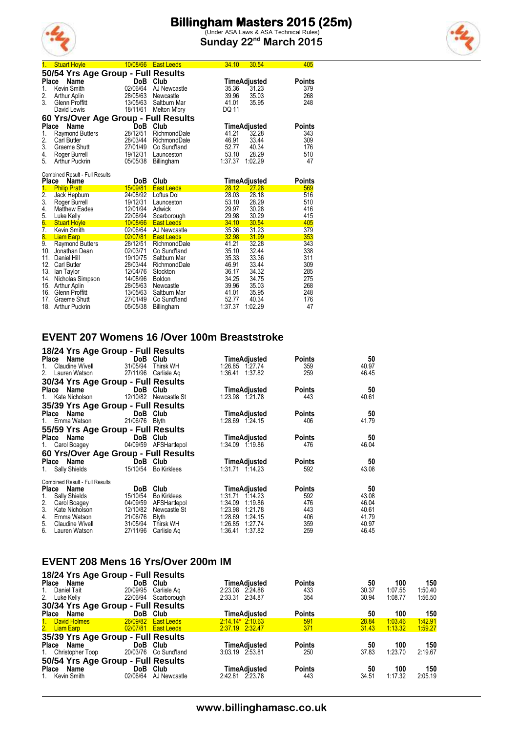

(Under ASA Laws & ASA Technical Rules) **Sunday 22nd March 2015**

|  | ł | ï |
|--|---|---|

| 1.            | <b>Stuart Hoyle</b>                           | 10/08/66             | <b>East Leeds</b>                 | 34.10            | 30.54            | 405        |
|---------------|-----------------------------------------------|----------------------|-----------------------------------|------------------|------------------|------------|
|               | 50/54 Yrs Age Group - Full Results            |                      |                                   |                  |                  |            |
| Place         | Name                                          | DoB                  | Club                              |                  | TimeAdjusted     | Points     |
| 1.            | Kevin Smith                                   | 02/06/64             | AJ Newcastle                      | 35.36            | 31.23            | 379        |
| 2.            | Arthur Aplin                                  | 28/05/63             | Newcastle                         | 39.96            | 35.03            | 268        |
| 3.            | Glenn Proffitt                                | 13/05/63             | Saltburn Mar                      | 41.01            | 35.95            | 248        |
|               | David Lewis                                   | 18/11/61             | Melton M'bry                      | DQ 11            |                  |            |
|               | 60 Yrs/Over Age Group - Full Results          |                      |                                   |                  |                  |            |
| <b>Place</b>  | Name                                          | DoB                  | Club                              |                  | TimeAdjusted     | Points     |
| 1.            | <b>Raymond Butters</b>                        | 28/12/51             | RichmondDale                      | 41.21            | 32.28            | 343        |
| 2.            | <b>Carl Butler</b>                            | 28/03/44             | RichmondDale                      | 46.91            | 33.44            | 309        |
| 3.            | Graeme Shutt                                  | 27/01/49             | Co Sund'land                      | 52.77            | 40.34            | 176        |
| 4.            | Roger Burrell                                 | 19/12/31             | Launceston                        | 53.10            | 28.29            | 510        |
| 5.            | Arthur Puckrin                                | 05/05/38             | Billingham                        | 1:37.37          | 1:02.29          | 47         |
|               |                                               |                      |                                   |                  |                  |            |
| Place         | <b>Combined Result - Full Results</b><br>Name | DoB.                 | Club                              |                  |                  | Points     |
|               |                                               |                      |                                   |                  | TimeAdjusted     |            |
|               |                                               |                      |                                   |                  |                  |            |
| 1.            | <b>Philip Pratt</b>                           | 15/09/81             | <b>East Leeds</b>                 | 28.12            | 27.28            | 569        |
|               | Jack Hepburn                                  | 24/08/92             | Loftus Dol                        | 28.03            | 28.18            | 516        |
| $\frac{2}{3}$ | Roger Burrell                                 | 19/12/31             | Launceston                        | 53.10            | 28.29            | 510        |
| 4.            | <b>Matthew Eades</b>                          | 12/01/94             | Adwick                            | 29.97            | 30.28            | 416        |
| 5.            | Luke Kelly                                    | 22/06/94             | Scarborough                       | 29.98            | 30.29            | 415        |
| 6.            | <b>Stuart Hoyle</b>                           | 10/08/66<br>02/06/64 | <b>East Leeds</b><br>AJ Newcastle | 34.10<br>35.36   | 30.54<br>31.23   | 405<br>379 |
| 7.<br>8.      | Kevin Smith<br><b>Liam Earp</b>               | 02/07/81             | <b>East Leeds</b>                 | 32.98            | 31.99            | 353        |
| 9.            | <b>Raymond Butters</b>                        | 28/12/51             | RichmondDale                      | 41.21            | 32.28            | 343        |
|               | 10. Jonathan Dean                             | 02/03/71             | Co Sund'land                      | 35.10            | 32.44            | 338        |
| 11.           | Daniel Hill                                   | 19/10/75             | Saltburn Mar                      | 35.33            | 33.36            | 311        |
|               | 12. Carl Butler                               | 28/03/44             | RichmondDale                      | 46.91            | 33.44            | 309        |
| 13.           | lan Taylor                                    | 12/04/76             | Stockton                          | 36.17            | 34.32            | 285        |
| 14.           | Nicholas Simpson                              | 14/08/96             | <b>Boldon</b>                     | 34.25            | 34.75            | 275        |
| 15.           | Arthur Aplin                                  | 28/05/63             | Newcastle                         | 39.96            | 35.03            | 268        |
| 16.           | <b>Glenn Proffitt</b>                         | 13/05/63             | Saltburn Mar                      | 41.01            | 35.95            | 248        |
| 17.           | Graeme Shutt<br>18. Arthur Puckrin            | 27/01/49<br>05/05/38 | Co Sund'land<br>Billingham        | 52.77<br>1:37.37 | 40.34<br>1:02.29 | 176<br>47  |

#### **EVENT 207 Womens 16 /Over 100m Breaststroke**

| 18/24 Yrs Age Group - Full Results    |                    |                       |                     |               |       |
|---------------------------------------|--------------------|-----------------------|---------------------|---------------|-------|
| Name<br>Place                         |                    | DoB Club              | TimeAdjusted        | <b>Points</b> | 50    |
| Claudine Wivell<br>1.                 | 31/05/94 Thirsk WH |                       | 1:26.85 1.27.74     | 359           | 40.97 |
| 2. Lauren Watson                      |                    | 27/11/96 Carlisle Ag  | 1:36.41<br>1:37.82  | 259           | 46.45 |
| 30/34 Yrs Age Group - Full Results    |                    |                       |                     |               |       |
| Place Name                            |                    | DoB Club              | TimeAdjusted        | <b>Points</b> | 50    |
| 1. Kate Nicholson                     |                    | 12/10/82 Newcastle St | 1:23.98 1.21.78     | 443           | 40.61 |
| 35/39 Yrs Age Group - Full Results    |                    |                       |                     |               |       |
| Place Name                            | DoB Club           |                       | TimeAdjusted        | <b>Points</b> | 50    |
| 1. Emma Watson                        | 21/06/76 Blyth     |                       | 1:28.69 1:24.15     | 406           | 41.79 |
| 55/59 Yrs Age Group - Full Results    |                    |                       |                     |               |       |
| Place Name                            |                    | DoB Club              | TimeAdjusted        | <b>Points</b> | 50    |
| 1. Carol Boagey                       |                    | 04/09/59 AFSHartlepol | 1:34.09 1.19.86     | 476           | 46.04 |
| 60 Yrs/Over Age Group - Full Results  |                    |                       |                     |               |       |
| Place Name                            |                    | DoB Club              | TimeAdjusted        | <b>Points</b> | 50    |
| 1. Sally Shields                      |                    | 15/10/54 Bo Kirklees  | 1:31.71 1:14.23     | 592           | 43.08 |
| <b>Combined Result - Full Results</b> |                    |                       |                     |               |       |
| Place<br>Name                         | DoB                | Club                  | <b>TimeAdjusted</b> | <b>Points</b> | 50    |
| Sally Shields<br>1.                   | 15/10/54           | Bo Kirklees           | 1:31.71<br>1.14.23  | 592           | 43.08 |
| 2. Carol Boagey<br>3. Kate Nicholson  | 04/09/59           | AFSHartlepol          | 1:19.86<br>1:34.09  | 476           | 46.04 |
| Kate Nicholson                        | 12/10/82           | Newcastle St          | 1:23.98<br>1:21.78  | 443           | 40.61 |
| 4. Emma Watson                        | 21/06/76 Blyth     |                       | 1:28.69<br>1:24.15  | 406           | 41.79 |
| 5. Claudine Wivell                    | 31/05/94           | Thirsk WH             | 1.26.85<br>1:27.74  | 359           | 40.97 |
| 6. Lauren Watson                      | 27/11/96           | Carlisle Ag           | 1:36.41<br>1:37.82  | 259           | 46.45 |

### **EVENT 208 Mens 16 Yrs/Over 200m IM**

| 18/24 Yrs Age Group - Full Results      |                   |                   |               |       |         |         |
|-----------------------------------------|-------------------|-------------------|---------------|-------|---------|---------|
| Name<br>DoB<br>Place                    | Club              | TimeAdjusted      | <b>Points</b> | 50    | 100     | 150     |
| 20/09/95<br>Daniel Tait<br>1.           | Carlisle Ag       | 2:23.08 2:24.86   | 433           | 30.37 | 1:07.55 | 1:50.40 |
| 2. Luke Kelly<br>22/06/94               | Scarborough       | 2:33.31 2:34.87   | 354           | 30.94 | 1:08.77 | 1:56.50 |
| 30/34 Yrs Age Group - Full Results      |                   |                   |               |       |         |         |
| Name<br>Do <sub>B</sub><br>Place        | Club              | TimeAdjusted      | <b>Points</b> | 50    | 100     | 150     |
| 1. David Holmes<br>26/09/82             | <b>East Leeds</b> | $2.14.14*2.10.63$ | 591           | 28.84 | 1:03.46 | 1:42.91 |
| 2. Liam Earp<br>02/07/81                | <b>East Leeds</b> | 2:37.19 2:32.47   | 371           | 31.43 | 1:13.32 | 1:59.27 |
| 35/39 Yrs Age Group - Full Results      |                   |                   |               |       |         |         |
| Place Name<br>DoB.                      | Club              | TimeAdjusted      | <b>Points</b> | 50    | 100     | 150     |
| 20/03/76<br>1. Christopher Toop         | Co Sund'land      | 3:03.19 2:53.81   | 250           | 37.83 | 1.23.70 | 2:19.67 |
| 50/54 Yrs Age Group - Full Results      |                   |                   |               |       |         |         |
| Name<br>Do <sub>B</sub><br><b>Place</b> | Club              | TimeAdjusted      | <b>Points</b> | 50    | 100     | 150     |
| 02/06/64<br>Kevin Smith                 | AJ Newcastle      | 2:42.81 2:23.78   | 443           | 34.51 | 1.17.32 | 2:05.19 |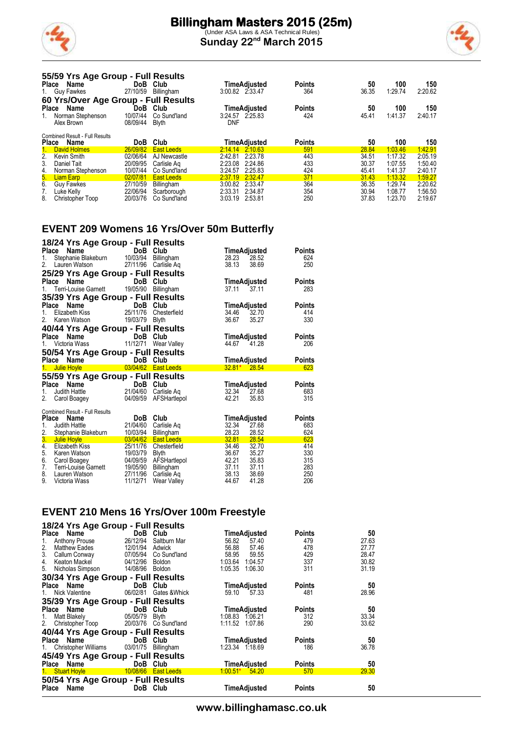

(Under ASA Laws & ASA Technical Rules) **Sunday 22nd March 2015**



|              | 55/59 Yrs Age Group - Full Results    |                      |                   |                     |               |       |         |         |
|--------------|---------------------------------------|----------------------|-------------------|---------------------|---------------|-------|---------|---------|
| Place        | Name                                  | DoB                  | Club              | TimeAdjusted        | <b>Points</b> | 50    | 100     | 150     |
|              | 1. Guy Fawkes                         | 27/10/59             | Billingham        | 3:00.82 2:33.47     | 364           | 36.35 | 1:29.74 | 2:20.62 |
|              | 60 Yrs/Over Age Group - Full Results  |                      |                   |                     |               |       |         |         |
| Place        | Name                                  | <b>DoB</b>           | Club              | TimeAdiusted        | <b>Points</b> | 50    | 100     | 150     |
|              | Norman Stephenson                     | 10/07/44             | Co Sund'land      | 3:24.57 2.25.83     | 424           | 45.41 | 1:41.37 | 2:40.17 |
|              | Alex Brown                            | 08/09/44             | <b>Blyth</b>      | DNF                 |               |       |         |         |
|              |                                       |                      |                   |                     |               |       |         |         |
|              | <b>Combined Result - Full Results</b> |                      |                   |                     |               |       |         |         |
| <b>Place</b> | Name                                  | <b>DoB</b>           | Club              | <b>TimeAdjusted</b> | <b>Points</b> | 50    | 100     | 150     |
|              | <b>David Holmes</b>                   | 26/09/82             | <b>East Leeds</b> | 2.14.14 2.10.63     | 591           | 28.84 | 1:03.46 | 1:42.91 |
| 2.           | Kevin Smith                           | 02/06/64             | AJ Newcastle      | 2:42.81<br>2:23.78  | 443           | 34.51 | 1:17.32 | 2:05.19 |
| 3.           | Daniel Tait                           | 20/09/95             | Carlisle Ag       | 2:23.08<br>2:24.86  | 433           | 30.37 | 1:07.55 | 1:50.40 |
| 4.           | Norman Stephenson                     | 10/07/44             | Co Sund'land      | 2:25.83<br>3:24.57  | 424           | 45.41 | 1.41.37 | 2:40.17 |
| 5.           | <b>Liam Earp</b>                      | 02/07/81             | <b>East Leeds</b> | 2:37.19<br>2:32.47  | 371           | 31.43 | 1:13.32 | 1:59.27 |
| 6.           | <b>Guv Fawkes</b>                     | 27/10/59<br>22/06/94 | <b>Billingham</b> | 2.33.47<br>3:00.82  | 364           | 36.35 | 1:29.74 | 2:20.62 |

8. Christopher Toop 20/03/76 Co Sund'land 3:03.19 2:53.81 250 37.83 1:23.70 2:19.67

### **EVENT 209 Womens 16 Yrs/Over 50m Butterfly**

| Place<br>1.<br>2.                              | 18/24 Yrs Age Group - Full Results<br><b>Name</b><br>Stephanie Blakeburn<br>Lauren Watson                   | DoB<br>10/03/94<br>27/11/96                                          | Club<br>Billingham<br>Carlisle Aq                                                        | TimeAdjusted<br>28.23<br>28.52<br>38.13<br>38.69                                                         | Points<br>624<br>250                   |
|------------------------------------------------|-------------------------------------------------------------------------------------------------------------|----------------------------------------------------------------------|------------------------------------------------------------------------------------------|----------------------------------------------------------------------------------------------------------|----------------------------------------|
| <b>Place</b>                                   | 25/29 Yrs Age Group - Full Results<br>Name<br><b>Terri-Louise Garnett</b>                                   | DoB<br>19/05/90                                                      | Club<br>Billingham                                                                       | TimeAdjusted<br>37.11<br>37.11                                                                           | Points<br>283                          |
| <b>Place</b><br>1.<br>2.                       | 35/39 Yrs Age Group - Full Results<br>Name<br>Elizabeth Kiss<br>Karen Watson                                | DoB<br>25/11/76<br>19/03/79                                          | Club<br>Chesterfield<br><b>Blyth</b>                                                     | TimeAdjusted<br>34.46<br>32.70<br>36.67<br>35.27                                                         | <b>Points</b><br>414<br>330            |
| Place<br>1.                                    | 40/44 Yrs Age Group - Full Results<br>Name<br>Victoria Wass<br>50/54 Yrs Age Group - Full Results           | DoB<br>11/12/71                                                      | Club<br>Wear Valley                                                                      | TimeAdjusted<br>44.67<br>41.28                                                                           | Points<br>206                          |
| Place<br>1.                                    | Name<br><b>Julie Hoyle</b>                                                                                  | <b>DoB</b>                                                           | Club<br>03/04/62 East Leeds                                                              | TimeAdjusted<br>$32.81*$ 28.54                                                                           | Points<br>623                          |
| Place<br>1.<br>2.                              | 55/59 Yrs Age Group - Full Results<br>Name<br>Judith Hattle<br>Carol Boagey                                 | <b>DoB</b><br>21/04/60<br>04/09/59                                   | Club<br>Carlisle Ag<br>AFSHartlepol                                                      | TimeAdjusted<br>32.34<br>27.68<br>42.21<br>35.83                                                         | Points<br>683<br>315                   |
| Place<br>1.<br>2.<br>3.                        | <b>Combined Result - Full Results</b><br><b>Name</b><br>Judith Hattle<br>Stephanie Blakeburn<br>Julie Hoyle | DoB.<br>21/04/60<br>10/03/94<br>03/04/62                             | Club<br>Carlisle Ag<br>Billingham<br><b>East Leeds</b>                                   | TimeAdjusted<br>32.34<br>27.68<br>28.23<br>28.52<br>32.81<br>28.54                                       | <b>Points</b><br>683<br>624<br>623     |
| $\overline{4}$ .<br>5.<br>6.<br>7.<br>8.<br>9. | Elizabeth Kiss<br>Karen Watson<br>Carol Boagey<br>Terri-Louise Garnett<br>Lauren Watson<br>Victoria Wass    | 25/11/76<br>19/03/79<br>04/09/59<br>19/05/90<br>27/11/96<br>11/12/71 | Chesterfield<br><b>Blyth</b><br>AFSHartlepol<br>Billingham<br>Carlisle Ag<br>Wear Valley | 34.46<br>32.70<br>36.67<br>35.27<br>42.21<br>35.83<br>37.11<br>37.11<br>38.13<br>38.69<br>41.28<br>44.67 | 414<br>330<br>315<br>283<br>250<br>206 |

#### **EVENT 210 Mens 16 Yrs/Over 100m Freestyle**

| 18/24 Yrs Age Group - Full Results          |                 |                        |                     |               |       |
|---------------------------------------------|-----------------|------------------------|---------------------|---------------|-------|
| Place Name                                  |                 | DoB Club               | TimeAdjusted        | <b>Points</b> | 50    |
| <b>Anthony Prouse</b><br>1.                 | 26/12/94        | Saltburn Mar           | 56.82<br>57.40      | 479           | 27.63 |
| 2.<br>Matthew Eades                         | 12/01/94        | Adwick                 | 56.88<br>57.46      | 478           | 27.77 |
| 3.<br>Callum Conway                         | 07/05/94        | Co Sund'land           | 58.95<br>59.55      | 429           | 28.47 |
| 4.<br>Keaton Mackel                         | 04/12/96 Boldon |                        | 1:03.64<br>1:04.57  | 337           | 30.82 |
| 5.<br>Nicholas Simpson 14/08/96 Boldon      |                 |                        | 1:05.35<br>1.06.30  | 311           | 31.19 |
| 30/34 Yrs Age Group - Full Results          |                 |                        |                     |               |       |
| Place Name                                  | DoB Club        |                        | TimeAdjusted        | <b>Points</b> | 50    |
| Nick Valentine<br>1.                        |                 | 06/02/81 Gates & Whick | 59.10 57.33         | 481           | 28.96 |
| 35/39 Yrs Age Group - Full Results          |                 |                        |                     |               |       |
| Place Name                                  | <b>DoB</b> Club |                        | TimeAdjusted        | Points        | 50    |
| Matt Blakely<br>1.                          | 05/05/79 Blyth  |                        | 1:08.83 1:06.21     | 312           | 33.34 |
| 2.<br>Christopher Toop                      |                 | 20/03/76 Co Sund'land  | 1:11.52 1:07.86     | 290           | 33.62 |
| 40/44 Yrs Age Group - Full Results          |                 |                        |                     |               |       |
| Place Name DoB Club                         |                 |                        | TimeAdjusted        | <b>Points</b> | 50    |
| 1. Christopher Williams 03/01/75 Billingham |                 |                        | 1:23.34 1.18.69     | 186           | 36.78 |
| 45/49 Yrs Age Group - Full Results          |                 |                        |                     |               |       |
| Place Name                                  | DoB Club        |                        | <b>TimeAdjusted</b> | <b>Points</b> | 50    |
| 1. Stuart Hoyle 10/08/66 East Leeds         |                 |                        | $1:00.51$ $54.20$   | 570           | 29.30 |
| 50/54 Yrs Age Group - Full Results          |                 |                        |                     |               |       |
| Place Name                                  | DoB Club        |                        | <b>TimeAdjusted</b> | <b>Points</b> | 50    |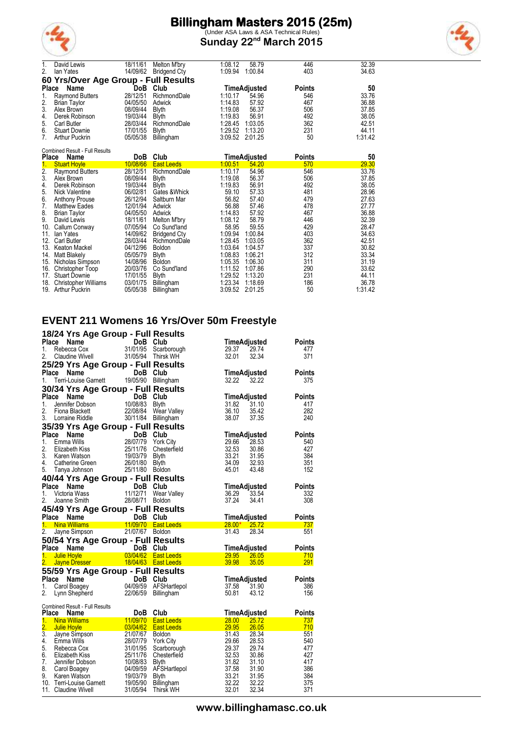

(Under ASA Laws & ASA Technical Rules) **Sunday 22nd March 2015**



| 1.           | David Lewis                           | 18/11/61 | <b>Melton M'brv</b> | 1:08.12 | 58.79        | 446           | 32.39   |
|--------------|---------------------------------------|----------|---------------------|---------|--------------|---------------|---------|
| 2.           | lan Yates                             | 14/09/62 | <b>Bridgend Cty</b> | 1:09.94 | 1:00.84      | 403           | 34.63   |
|              | 60 Yrs/Over Age Group - Full Results  |          |                     |         |              |               |         |
| <b>Place</b> | Name                                  | DoB      | Club                |         | TimeAdjusted | <b>Points</b> | 50      |
| 1.           | <b>Raymond Butters</b>                | 28/12/51 | RichmondDale        | 1:10.17 | 54.96        | 546           | 33.76   |
| 2.           | <b>Brian Taylor</b>                   | 04/05/50 | Adwick              | 1:14.83 | 57.92        | 467           | 36.88   |
| 3.           | Alex Brown                            | 08/09/44 | <b>Blyth</b>        | 1:19.08 | 56.37        | 506           | 37.85   |
| 4.           | Derek Robinson                        | 19/03/44 | <b>Blyth</b>        | 1:19.83 | 56.91        | 492           | 38.05   |
| 5.           | Carl Butler                           | 28/03/44 | RichmondDale        | 1:28.45 | 1:03.05      | 362           | 42.51   |
| 6.           | <b>Stuart Downie</b>                  | 17/01/55 | <b>Blyth</b>        | 1:29.52 | 1:13.20      | 231           | 44.11   |
| 7.           | <b>Arthur Puckrin</b>                 | 05/05/38 | Billingham          | 3:09.52 | 2:01.25      | 50            | 1:31.42 |
|              | <b>Combined Result - Full Results</b> |          |                     |         |              |               |         |
| <b>Place</b> | Name                                  | DoB      | Club                |         | TimeAdjusted | <b>Points</b> | 50      |
| 1.           | <b>Stuart Hoyle</b>                   | 10/08/66 | <b>East Leeds</b>   | 1:00.51 | 54.20        | 570           | 29.30   |
| 2.           | <b>Raymond Butters</b>                | 28/12/51 | RichmondDale        | 1:10.17 | 54.96        | 546           | 33.76   |

|     | <u>UNUILINIVIV</u>          | <u>.</u> | Luvi Luvuv          | 1. vv. v 1      |         | <u>v 1 v</u> | <u>Lv.vv</u> |
|-----|-----------------------------|----------|---------------------|-----------------|---------|--------------|--------------|
| 2.  | <b>Raymond Butters</b>      | 28/12/51 | RichmondDale        | 1:10.17         | 54.96   | 546          | 33.76        |
| 3.  | Alex Brown                  | 08/09/44 | <b>Blyth</b>        | 1:19.08         | 56.37   | 506          | 37.85        |
| 4.  | Derek Robinson              | 19/03/44 | Blyth               | 1:19.83         | 56.91   | 492          | 38.05        |
| 5.  | Nick Valentine              | 06/02/81 | Gates & Whick       | 59.10           | 57.33   | 481          | 28.96        |
| 6.  | <b>Anthony Prouse</b>       | 26/12/94 | Saltburn Mar        | 56.82           | 57.40   | 479          | 27.63        |
| 7.  | <b>Matthew Eades</b>        | 12/01/94 | Adwick              | 56.88           | 57.46   | 478          | 27.77        |
| 8.  | <b>Brian Taylor</b>         | 04/05/50 | Adwick              | 1:14.83         | 57.92   | 467          | 36.88        |
| 9.  | David Lewis                 | 18/11/61 | Melton M'bry        | 1:08.12         | 58.79   | 446          | 32.39        |
| 10. | Callum Conway               | 07/05/94 | Co Sund'land        | 58.95           | 59.55   | 429          | 28.47        |
| 11. | lan Yates                   | 14/09/62 | <b>Bridgend Cty</b> | 1:09.94         | 1:00.84 | 403          | 34.63        |
| 12. | <b>Carl Butler</b>          | 28/03/44 | RichmondDale        | 1:28.45         | 1:03.05 | 362          | 42.51        |
| 13. | Keaton Mackel               | 04/12/96 | <b>Boldon</b>       | 1:03.64         | 1:04.57 | 337          | 30.82        |
| 14. | <b>Matt Blakelv</b>         | 05/05/79 | <b>Blyth</b>        | 1:08.83         | 1:06.21 | 312          | 33.34        |
| 15. | Nicholas Simpson            | 14/08/96 | <b>Boldon</b>       | 1:05.35         | 1.06.30 | 311          | 31.19        |
| 16. | Christopher Toop            | 20/03/76 | Co Sund'land        | 1:11.52         | 1:07.86 | 290          | 33.62        |
| 17. | <b>Stuart Downie</b>        | 17/01/55 | <b>Blyth</b>        | 1:29.52         | 1:13.20 | 231          | 44.11        |
| 18. | <b>Christopher Williams</b> | 03/01/75 | Billingham          | 1:23.34         | 1:18.69 | 186          | 36.78        |
|     | 19. Arthur Puckrin          | 05/05/38 | Billingham          | 3:09.52 2:01.25 |         | 50           | 1:31.42      |
|     |                             |          |                     |                 |         |              |              |

### **EVENT 211 Womens 16 Yrs/Over 50m Freestyle**

|                  | 18/24 Yrs Age Group - Full Results                                       |                                |                                                                                                                |                                  |               |
|------------------|--------------------------------------------------------------------------|--------------------------------|----------------------------------------------------------------------------------------------------------------|----------------------------------|---------------|
| Place            | Name                                                                     | DoB Club                       |                                                                                                                | TimeAdjusted                     | Points        |
| 1.               | Rebecca Cox                                                              |                                | 31/01/95 Scarborough                                                                                           | 29.37<br>29.74                   | 477           |
| 2.               | Claudine Wivell                                                          |                                | 31/05/94 Thirsk WH                                                                                             | 32.01<br>32.34                   | 371           |
|                  | 25/29 Yrs Age Group - Full Results                                       |                                |                                                                                                                |                                  |               |
|                  | Place Name                                                               | DoB Club                       |                                                                                                                | TimeAdjusted                     | Points        |
| 1.               | Terri-Louise Garnett 19/05/90 Billingham                                 |                                |                                                                                                                | 32.22<br>32.22                   | 375           |
|                  | 30/34 Yrs Age Group - Full Results                                       |                                |                                                                                                                |                                  |               |
| Place            | ce Name<br>Jennifer Dobson 10/08/83 Blyth                                | DoB Club                       |                                                                                                                | TimeAdjusted                     | <b>Points</b> |
| 1.               |                                                                          |                                |                                                                                                                | 31.82<br>31.10                   | 417           |
| 2.               | Fiona Blackett                                                           | 22/08/84                       | Wear Valley                                                                                                    | 36.10<br>35.42                   | 282           |
| 3.               | Lorraine Riddle                                                          |                                | 30/11/84 Billingham                                                                                            | 38.07<br>37.35                   | 240           |
|                  | 35/39 Yrs Age Group - Full Results                                       |                                |                                                                                                                |                                  |               |
| Place            | Name                                                                     | DoB Club<br>28/07/79 York City |                                                                                                                | TimeAdjusted                     | <b>Points</b> |
| 1.               | Emma Wills                                                               |                                |                                                                                                                | 29.66<br>28.53                   | 540           |
| 2.               | Elizabeth Kiss                                                           | 25/11/76                       | Chesterfield                                                                                                   | 32.53<br>30.86                   | 427           |
| 3.<br>4.         | Karen Watson<br>Catherine Green                                          | 19/03/79<br>26/01/80           | <b>Blyth</b><br><b>Blyth</b>                                                                                   | 33.21<br>31.95<br>34.09<br>32.93 | 384<br>351    |
| 5.               | Tanya Johnson                                                            | 25/11/80                       | <b>Boldon</b>                                                                                                  | 45.01<br>43.48                   | 152           |
|                  | 40/44 Yrs Age Group - Full Results                                       |                                |                                                                                                                |                                  |               |
| Place            | Name                                                                     | DoB Club                       |                                                                                                                | TimeAdjusted                     | <b>Points</b> |
| 1.               | Victoria Wass                                                            | 11/12/71                       | Wear Valley                                                                                                    | 36.29<br>33.54                   | 332           |
| 2.               | Joanne Smith                                                             | 28/08/71                       | <b>Boldon</b>                                                                                                  | 37.24<br>34.41                   | 308           |
|                  |                                                                          |                                |                                                                                                                |                                  |               |
|                  |                                                                          |                                |                                                                                                                |                                  |               |
|                  | 45/49 Yrs Age Group - Full Results                                       |                                |                                                                                                                |                                  |               |
| Place            | Name<br>1. Nina Williams                                                 | DoB Club                       | 11/09/70 East Leeds <b>Example 2014</b>                                                                        | TimeAdjusted<br>$28.00*$ 25.72   | Points        |
| 2.               | Jayne Simpson                                                            | 21/07/67 Boldon                |                                                                                                                | 31.43<br>28.34                   | 737<br>551    |
|                  |                                                                          |                                |                                                                                                                |                                  |               |
| Place            | 50/54 Yrs Age Group - Full Results<br>Name                               | DoB Club                       |                                                                                                                | TimeAdjusted                     | Points        |
|                  | 1. Julie Hoyle                                                           |                                | and the Control of Control of Control of Control of the Control of the Control of the Control of the Control o | 29.95 26.05                      | 710           |
| 2.               | Jayne Dresser                                                            |                                | 18/04/63 East Leeds                                                                                            | 39.98<br>35.05                   | <u> 291</u>   |
|                  | 55/59 Yrs Age Group - Full Results                                       |                                |                                                                                                                |                                  |               |
| Place            |                                                                          | DoB Club                       |                                                                                                                | TimeAdjusted                     | Points        |
| 1.               |                                                                          |                                | AFSHartlepol                                                                                                   | 37.58<br>31.90                   | 386           |
| 2.               |                                                                          |                                | <b>Billingham</b>                                                                                              | 50.81<br>43.12                   | 156           |
|                  | vame<br>Carol Boagey<br>Carol Boagey 04/09/59<br>Lynn Shepherd 22/00/759 |                                |                                                                                                                |                                  |               |
| Place            | <b>Combined Result - Full Results</b><br>Name                            | DoB                            | Club                                                                                                           | TimeAdjusted                     | <b>Points</b> |
|                  | 1. Nina Williams                                                         |                                | 11/09/70 East Leeds                                                                                            | 28.00                            | 737           |
| $\overline{2}$ . | <b>Julie Hoyle</b>                                                       | 03/04/62                       | <b>East Leeds</b>                                                                                              | 25.72<br>29.95<br>26.05          | 710           |
| $\overline{3}$ . |                                                                          | 21/07/67                       | <b>Boldon</b>                                                                                                  | 31.43<br>28.34                   | 551           |
| 4.               |                                                                          | 28/07/79                       | <b>York City</b>                                                                                               | 29.66<br>28.53                   | 540           |
| 5.               | Jayne Simpson<br>Emma Wills<br>Rebecca Cox<br>Rebecca Cox                | 31/01/95                       | Scarborough                                                                                                    | 29.37<br>29.74                   | 477           |
| 6.               | Elizabeth Kiss                                                           | 25/11/76                       | Chesterfield                                                                                                   | 32.53<br>30.86                   | 427           |
| 7.<br>8.         | Jennifer Dobson                                                          | 10/08/83                       | Blyth                                                                                                          | 31.82<br>31.10                   | 417           |
| 9.               | Carol Boagey<br>Karen Watson                                             | 04/09/59<br>19/03/79           | AFSHartlepol<br><b>Blyth</b>                                                                                   | 37.58<br>31.90<br>33.21<br>31.95 | 386<br>384    |
|                  | 10. Terri-Louise Garnett                                                 | 19/05/90                       | Billingham                                                                                                     | 32.22<br>32.22                   | 375           |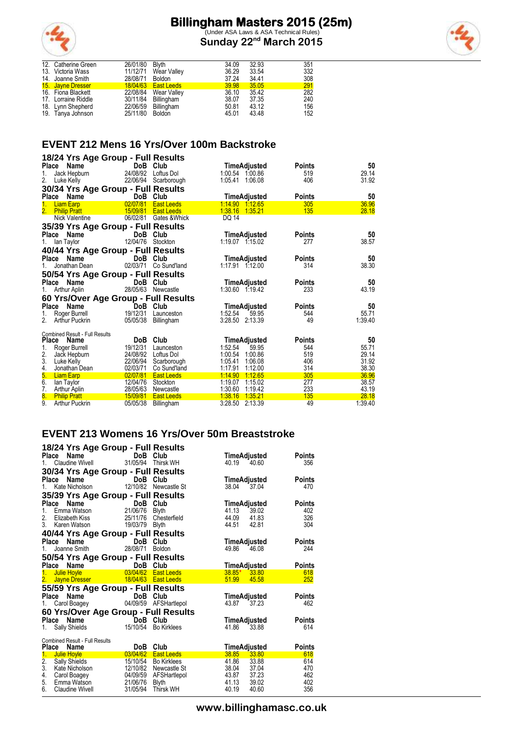

(Under ASA Laws & ASA Technical Rules) **Sunday 22nd March 2015**



| 12. Catherine Green | 26/01/80 Blyth  |                      | 34.09 | 32.93 | 351 |
|---------------------|-----------------|----------------------|-------|-------|-----|
| 13. Victoria Wass   |                 | 11/12/71 Wear Valley | 36.29 | 33.54 | 332 |
| 14. Joanne Smith    | 28/08/71 Boldon |                      | 37.24 | 34.41 | 308 |
| 15. Jayne Dresser   |                 | 18/04/63  East Leeds | 39.98 | 35.05 | 291 |
| 16. Fiona Blackett  |                 | 22/08/84 Wear Valley | 36.10 | 35.42 | 282 |
| 17. Lorraine Riddle |                 | 30/11/84 Billingham  | 38.07 | 37.35 | 240 |
| 18. Lynn Shepherd   |                 | 22/06/59 Billingham  | 50.81 | 43.12 | 156 |
| 19. Tanya Johnson   | 25/11/80 Boldon |                      | 45.01 | 43.48 | 152 |
|                     |                 |                      |       |       |     |

### **EVENT 212 Mens 16 Yrs/Over 100m Backstroke**

|                           | 18/24 Yrs Age Group - Full Results    |                      |                             |                                          |               |                |
|---------------------------|---------------------------------------|----------------------|-----------------------------|------------------------------------------|---------------|----------------|
|                           | Place Name                            |                      | DoB Club                    | TimeAdjusted                             | <b>Points</b> | 50             |
| 1.                        | Jack Hepburn                          | 24/08/92             | Loftus Dol                  | 1:00.54 1:00.86                          | 519           | 29.14          |
| 2.                        | Luke Kelly                            |                      | 22/06/94 Scarborough        | 1:05.41<br>1.06.08                       | 406           | 31.92          |
|                           | 30/34 Yrs Age Group - Full Results    |                      |                             |                                          |               |                |
|                           | Place Name                            |                      | DoB Club                    | TimeAdjusted                             | <b>Points</b> | 50             |
| 1.                        | <b>Liam Earp</b>                      | 02/07/81             | <b>East Leeds</b>           | 1:14.90 1:12.65                          | 305           | 36.96          |
| 2.                        | <b>Philip Pratt</b>                   |                      | 15/09/81 East Leeds         | 1:38.16<br>1:35.21                       | 135           | 28.18          |
|                           | Nick Valentine                        |                      | 06/02/81 Gates & Whick      | DQ 14                                    |               |                |
|                           | 35/39 Yrs Age Group - Full Results    |                      |                             |                                          |               |                |
|                           | Place Name                            |                      | DoB Club                    | TimeAdjusted                             | <b>Points</b> | 50             |
| 1.                        | lan Taylor                            | 12/04/76             | Stockton                    | 1:19.07 1:15.02                          | 277           | 38.57          |
|                           | 40/44 Yrs Age Group - Full Results    |                      |                             |                                          |               |                |
|                           | Place Name                            |                      | DoB Club                    | TimeAdjusted                             | Points        | 50             |
|                           | Jonathan Dean                         | 02/03/71             | Co Sund'land                | 1:17.91 1:12.00                          | 314           | 38.30          |
|                           | 50/54 Yrs Age Group - Full Results    |                      |                             |                                          |               |                |
|                           | Place Name                            |                      | DoB Club                    | TimeAdjusted                             | Points        | 50             |
| 1.                        | Arthur Aplin                          | 28/05/63             | Newcastle                   | 1:30.60 1.19.42                          | 233           | 43.19          |
|                           | 60 Yrs/Over Age Group - Full Results  |                      |                             |                                          |               |                |
|                           | Place Name                            |                      | DoB Club                    | TimeAdjusted                             | <b>Points</b> | 50             |
| 1.                        | Roger Burrell                         | 19/12/31             | Launceston                  | 1:52.54<br>59.95                         | 544           | 55.71          |
| 2.                        | <b>Arthur Puckrin</b>                 | 05/05/38             | Billingham                  | 3:28.50 2:13.39                          | 49            | 1:39.40        |
|                           |                                       |                      |                             |                                          |               |                |
|                           | <b>Combined Result - Full Results</b> |                      |                             |                                          |               |                |
| <b>Place</b>              | Name                                  | DoB                  | Club                        | TimeAdjusted                             | <b>Points</b> | 50             |
| 1.                        | Roger Burrell                         | 19/12/31             | Launceston                  | 1:52.54<br>59.95                         | 544           | 55.71          |
| 2.<br>3.                  | Jack Hepburn                          | 24/08/92<br>22/06/94 | Loftus Dol                  | 1:00.54<br>1:00.86<br>1:05.41<br>1:06.08 | 519<br>406    | 29.14<br>31.92 |
| 4.                        | Luke Kelly<br>Jonathan Dean           | 02/03/71             | Scarborough<br>Co Sund'land | 1:12.00<br>1:17.91                       | 314           | 38.30          |
| 5.                        | <b>Liam Earp</b>                      | 02/07/81             | <b>East Leeds</b>           | 1.14.90<br>1:12.65                       | 305           | 36.96          |
| 6.                        | lan Taylor                            | 12/04/76             | Stockton                    | 1:19.07<br>1.15.02                       | 277           | 38.57          |
| 7.                        | Arthur Aplin                          | 28/05/63             | Newcastle                   | 1:30.60<br>1:19.42                       | 233           | 43.19          |
| $\overline{\textbf{8}}$ . | <b>Philip Pratt</b>                   | 15/09/81             | <b>East Leeds</b>           | 1:38.16<br>1.35.21                       | 135           | 28.18          |
| 9.                        | <b>Arthur Puckrin</b>                 | 05/05/38             | Billingham                  | 3:28.50<br>2:13.39                       | 49            | 1:39.40        |

### **EVENT 213 Womens 16 Yrs/Over 50m Breaststroke**

|                                                               | 18/24 Yrs Age Group - Full Results                                                                             |                     |                       |                              |       |               |
|---------------------------------------------------------------|----------------------------------------------------------------------------------------------------------------|---------------------|-----------------------|------------------------------|-------|---------------|
| Place Name                                                    |                                                                                                                | DoB Club            |                       | TimeAdjusted                 |       | <b>Points</b> |
| 1.                                                            | Claudine Wivell                                                                                                |                     | 31/05/94 Thirsk WH    | 40.19                        | 40.60 | 356           |
|                                                               | 30/34 Yrs Age Group - Full Results                                                                             |                     |                       |                              |       |               |
| Place<br>Name                                                 |                                                                                                                | DoB Club            |                       | TimeAdjusted                 |       | Points        |
| 1.                                                            | Kate Nicholson                                                                                                 | 12/10/82            | Newcastle St          | 38.04                        | 37.04 | 470           |
|                                                               | 35/39 Yrs Age Group - Full Results                                                                             |                     |                       |                              |       |               |
| Place<br>Name                                                 |                                                                                                                | DoB                 | Club                  | TimeAdjusted                 |       | <b>Points</b> |
| $1_{-}$                                                       | Emma Watson 21/06/76 Blyth                                                                                     |                     |                       | 41.13                        | 39.02 | 402           |
| 2. Elizabeth Kiss                                             |                                                                                                                |                     | 25/11/76 Chesterfield | 44.09                        | 41.83 | 326           |
| 3 <sub>1</sub>                                                | Karen Watson                                                                                                   | 19/03/79            | <b>Blyth</b>          | 44.51                        | 42.81 | 304           |
|                                                               | 40/44 Yrs Age Group - Full Results                                                                             |                     |                       |                              |       |               |
|                                                               | Place Name                                                                                                     | DoB Club            |                       | TimeAdjusted                 |       | Points        |
| $1_{-}$                                                       | Joanne Smith                                                                                                   | 28/08/71            | <b>Boldon</b>         | 49.86                        | 46.08 | 244           |
|                                                               | 50/54 Yrs Age Group - Full Results                                                                             |                     |                       |                              |       |               |
| Place Name                                                    |                                                                                                                | DoB Club            |                       | TimeAdjusted                 |       | <b>Points</b> |
| 1. Julie Hoyle                                                |                                                                                                                | $\frac{03}{104/62}$ | <b>East Leeds</b>     | $38.85*$ 33.80               |       | 618           |
| 2.                                                            | <b>Jayne Dresser May 19</b>                                                                                    |                     | 18/04/63 East Leeds   | 51.99                        | 45.58 | 252           |
|                                                               | 55/59 Yrs Age Group - Full Results                                                                             |                     |                       |                              |       |               |
|                                                               | Place Name                                                                                                     | DoB Club            |                       | TimeAdjusted                 |       | Points        |
| 1.                                                            | Carol Boagey                                                                                                   |                     | 04/09/59 AFSHartlepol | 43.87                        | 37.23 | 462           |
|                                                               | 60 Yrs/Over Age Group - Full Results                                                                           |                     |                       |                              |       |               |
|                                                               | Place Name                                                                                                     | DoB Club            |                       | TimeAdjusted                 |       | <b>Points</b> |
| 1.                                                            | Sally Shields                                                                                                  | 15/10/54            | <b>Bo Kirklees</b>    | 41.86                        | 33.88 | 614           |
|                                                               |                                                                                                                |                     |                       |                              |       |               |
| <b>Combined Result - Full Results</b><br><b>Place</b><br>Name |                                                                                                                | DoB                 | Club                  |                              |       | <b>Points</b> |
| 1.<br><b>Julie Hoyle</b>                                      | and the state of the state of the state of the state of the state of the state of the state of the state of th | 03/04/62            | <b>East Leeds</b>     | TimeAdjusted<br><b>38.85</b> | 33.80 | 618           |
| 2.<br><b>Sally Shields</b>                                    |                                                                                                                | 15/10/54            | Bo Kirklees           | 41.86                        | 33.88 | 614           |
| 3.<br>Kate Nicholson                                          |                                                                                                                | 12/10/82            | Newcastle St          | 38.04 37.04                  |       | 470           |
| 4.<br>Carol Boagey                                            |                                                                                                                | 04/09/59            | AFSHartlepol          | 43.87                        | 37.23 | 462           |
| 5.<br>Emma Watson                                             |                                                                                                                | 21/06/76            | Blyth                 | 41.13                        | 39.02 | 402           |
| 6.<br><b>Claudine Wivell</b>                                  |                                                                                                                | 31/05/94            | <b>Thirsk WH</b>      | 40.19                        | 40.60 | 356           |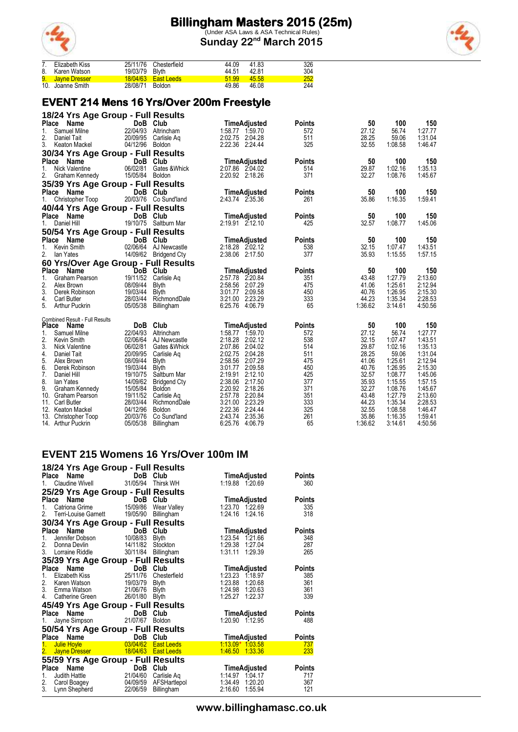

(Under ASA Laws & ASA Technical Rules) **Sunday 22nd March 2015**



|    | Elizabeth Kiss   |                | 25/11/76 Chesterfield | 44.09 | 41.83 | 326 |
|----|------------------|----------------|-----------------------|-------|-------|-----|
| 8. | Karen Watson     | 19/03/79 Blyth |                       | 44.51 | 42.81 | 304 |
|    | 9. Javne Dresser |                | 18/04/63 East Leeds   | 51.99 | 45.58 | 252 |
|    | 10. Joanne Smith | 28/08/71       | <b>Boldon</b>         | 49.86 | 46.08 | 244 |

### **EVENT 214 Mens 16 Yrs/Over 200m Freestyle**

| 18/24 Yrs Age Group - Full Results               |                                       |                                    |               |                |                    |                    |
|--------------------------------------------------|---------------------------------------|------------------------------------|---------------|----------------|--------------------|--------------------|
| Place Name                                       | DoB Club                              | <b>TimeAdjusted</b>                | Points        | 50             | 100                | 150                |
| 22/04/93<br>Samuel Milne<br>1.                   | Altrincham                            | 1:58.77 1:59.70                    | 572           | 27.12          | 56.74              | 1:27.77            |
| 2.<br>20/09/95<br>Daniel Tait                    | Carlisle Ag                           | 2:02.75 2:04.28                    | 511           | 28.25          | 59.06              | 1:31.04            |
| 3. Keaton Mackel                                 | 04/12/96 Boldon                       | 2:22.36 2:24.44                    | 325           | 32.55          | 1:08.58            | 1:46.47            |
| 30/34 Yrs Age Group - Full Results               |                                       |                                    |               |                |                    |                    |
| Place<br>Name                                    | DoB Club                              | TimeAdjusted                       | <b>Points</b> | 50             | 100                | 150                |
| 06/02/81<br>1.<br>Nick Valentine                 | Gates &Whick                          | 2:07.86 2:04.02                    | 514           | 29.87          | 1:02.16            | 1:35.13            |
| 2.<br>Graham Kennedy                             | 15/05/84 Boldon                       | 2:20.92 2:18.26                    | 371           | 32.27          | 1:08.76            | 1:45.67            |
| 35/39 Yrs Age Group - Full Results               |                                       |                                    |               |                |                    |                    |
| Place Name                                       | DoB Club                              | TimeAdjusted                       | <b>Points</b> | 50             | 100                | 150                |
| 1. Christopher Toop                              | 20/03/76 Co Sund'land                 | 2.43.74 2.35.36                    | 261           | 35.86          | 1:16.35            | 1:59.41            |
| 40/44 Yrs Age Group - Full Results               |                                       |                                    |               |                |                    |                    |
| Place<br>Name                                    | DoB Club                              | TimeAdjusted                       | <b>Points</b> | 50             | 100                | 150                |
| Daniel Hill<br>1.                                | 19/10/75 Saltburn Mar                 | 2:19.91 2:12.10                    | 425           | 32.57          | 1:08.77            | 1:45.06            |
|                                                  |                                       |                                    |               |                |                    |                    |
| 50/54 Yrs Age Group - Full Results               |                                       |                                    |               |                |                    |                    |
| Place Name<br>02/06/64                           | DoB Club                              | <b>TimeAdjusted</b>                | <b>Points</b> | 50             | 100                | 150                |
| Kevin Smith<br>1.<br>2.                          | AJ Newcastle<br>14/09/62 Bridgend Cty | 2:18.28 2:02.12<br>2:38.06 2:17.50 | 538<br>377    | 32.15<br>35.93 | 1.07.47<br>1:15.55 | 1:43.51<br>1:57.15 |
| lan Yates                                        |                                       |                                    |               |                |                    |                    |
| 60 Yrs/Over Age Group - Full Results             |                                       |                                    |               |                |                    |                    |
| Place Name                                       | DoB Club                              | TimeAdjusted                       | <b>Points</b> | 50             | 100                | 150                |
| Graham Pearson<br>1.                             | 19/11/52 Carlisle Aq                  | 2:57.78 2:20.84                    | 351           | 43.48          | 1:27.79            | 2:13.60            |
| 2.<br>08/09/44<br>Alex Brown<br>3.<br>19/03/44   | <b>Blyth</b>                          | 2:58.56 2:07.29                    | 475           | 41.06          | 1:25.61<br>1:26.95 | 2:12.94<br>2:15.30 |
| Derek Robinson<br>4.<br><b>Carl Butler</b>       | <b>Blyth</b><br>28/03/44 RichmondDale | 3:01.77 2:09.58<br>3:21.00 2:23.29 | 450<br>333    | 40.76<br>44.23 | 1:35.34            | 2:28.53            |
| 5.<br><b>Arthur Puckrin</b><br>05/05/38          | Billingham                            | 6:25.76 4:06.79                    | 65            | 1:36.62        | 3:14.61            | 4:50.56            |
|                                                  |                                       |                                    |               |                |                    |                    |
| <b>Combined Result - Full Results</b>            |                                       |                                    |               |                |                    |                    |
| Place Name                                       | DoB Club                              | <b>TimeAdjusted</b>                | <b>Points</b> | 50             | 100                | 150                |
| 22/04/93<br>1.<br>Samuel Milne                   | Altrincham                            | 1:58.77 1:59.70                    | 572           | 27.12          | 56.74              | 1:27.77            |
| 02/06/64<br>2.<br>Kevin Smith                    | AJ Newcastle                          | 2:18.28 2:02.12                    | 538           | 32.15          | 1:07.47            | 1:43.51            |
| 3.<br>Nick Valentine                             | 06/02/81 Gates & Whick                | 2:07.86 2:04.02                    | 514           | 29.87          | 1:02.16            | 1:35.13            |
| 4.<br>20/09/95<br>Daniel Tait                    | Carlisle Aq                           | 2:02.75 2:04.28                    | 511           | 28.25          | 59.06              | 1:31.04            |
| 5.<br>08/09/44<br>Alex Brown                     | <b>Blyth</b>                          | 2:58.56 2:07.29                    | 475           | 41.06          | 1:25.61            | 2:12.94            |
| 6.<br>19/03/44<br>Derek Robinson                 | Blyth                                 | 3:01.77 2:09.58                    | 450           | 40.76          | 1:26.95            | 2:15.30            |
| 7.<br>19/10/75<br>Daniel Hill                    | Saltburn Mar                          | 2:19.91 2:12.10                    | 425           | 32.57          | 1:08.77            | 1:45.06            |
| 8.<br>14/09/62<br>lan Yates                      | <b>Bridgend Cty</b>                   | 2:38.06 2:17.50                    | 377           | 35.93          | 1:15.55            | 1:57.15            |
| 9.<br>15/05/84<br>Graham Kennedy                 | Boldon                                | 2:20.92 2:18.26                    | 371           | 32.27          | 1:08.76            | 1:45.67            |
| 19/11/52<br>10. Graham Pearson<br>28/03/44       | Carlisle Ag                           | 2:57.78 2:20.84                    | 351<br>333    | 43.48<br>44.23 | 1:27.79<br>1:35.34 | 2:13.60            |
| 11. Carl Butler<br>04/12/96<br>12. Keaton Mackel | RichmondDale<br>Boldon                | 3:21.00 2.23.29<br>2:22.36 2:24.44 | 325           | 32.55          | 1:08.58            | 2:28.53<br>1:46.47 |
| 20/03/76<br>13. Christopher Toop                 | Co Sund'land                          | 2:43.74<br>2:35.36                 | 261           | 35.86          | 1:16.35            | 1:59.41            |
| 05/05/38 Billingham<br>14. Arthur Puckrin        |                                       |                                    |               |                |                    |                    |

### **EVENT 215 Womens 16 Yrs/Over 100m IM**

| 18/24 Yrs Age Group - Full Results  |                                     |                   |                    |               |
|-------------------------------------|-------------------------------------|-------------------|--------------------|---------------|
| Name<br>Place                       | DoB Club                            |                   | TimeAdjusted       | <b>Points</b> |
| 1.                                  | Claudine Wivell 31/05/94 Thirsk WH  |                   | 1:19.88 1:20.69    | 360           |
| 25/29 Yrs Age Group - Full Results  |                                     |                   |                    |               |
| Place<br>Name                       | DoB Club                            |                   | TimeAdjusted       | <b>Points</b> |
| Catriona Grime<br>1.                | 15/09/86                            | Wear Valley       | 1:23.70 1:22.69    | 335           |
| 2.<br>Terri-Louise Garnett          | 19/05/90                            | Billingham        | 1:24.16 1:24.16    | 318           |
| 30/34 Yrs Age Group - Full Results  |                                     |                   |                    |               |
| Place<br>Name                       | DoB Club                            |                   | TimeAdjusted       | Points        |
| Jennifer Dobson<br>1.               | 10/08/83                            | Blyth             | 1:23.54 1:21.66    | 348           |
| 2.<br>Donna Devlin                  | 14/11/82                            | Stockton          | 1:29.38<br>1:27.04 | 287           |
| 3.<br>Lorraine Riddle               | 30/11/84                            | Billingham        | 1.31.11<br>1.29.39 | 265           |
| 35/39 Yrs Age Group - Full Results  |                                     |                   |                    |               |
| Place Name                          | DoB Club                            |                   | TimeAdjusted       | <b>Points</b> |
| Elizabeth Kiss<br>1.                | 25/11/76                            | Chesterfield      | 1:23.23 1:18.97    | 385           |
| 2.<br>Karen Watson                  | 19/03/79                            | Blyth             | 1:23.88 1:20.68    | 361           |
| 3.<br>Emma Watson                   | 21/06/76                            | Blyth             | 1:24.98 1:20.63    | 361           |
| 4.<br>Catherine Green               | 26/01/80                            | Blyth             | 1:25.27<br>1:22.37 | 339           |
| 45/49 Yrs Age Group - Full Results  |                                     |                   |                    |               |
| Name<br><b>Place</b>                | DoB Club                            |                   | TimeAdjusted       | Points        |
| Jayne Simpson<br>1.                 | 21/07/67                            | Boldon            | 1:20.90 1:12.95    | 488           |
| 50/54 Yrs Age Group - Full Results  |                                     |                   |                    |               |
| Place Name                          | DoB                                 | Club              | TimeAdjusted       | <b>Points</b> |
| Julie Hoyle<br>1.                   | 03/04/62                            | <b>East Leeds</b> | $1.13.09*$ 1.03.58 | 737           |
| 2.<br>Jayne Dresser <b>Startung</b> | 18/04/63                            | <b>East Leeds</b> | 1.46.50 1.33.36    | 233           |
| 55/59 Yrs Age Group - Full Results  |                                     |                   |                    |               |
| Place<br>Name                       | DoB Club                            |                   | TimeAdjusted       | Points        |
| Judith Hattle<br>1.                 | $\overline{\text{DoB}}$<br>21/04/60 | Carlisle Aq       | 1:14.97 1:04.17    | 717           |
| 2.<br>Carol Boagey                  | 04/09/59                            | AFSHartlepol      | 1.34.49<br>1:20.20 | 367           |
| 3.<br>Lynn Shepherd                 | 22/06/59                            | Billingham        | 2:16.60<br>1:55.94 | 121           |